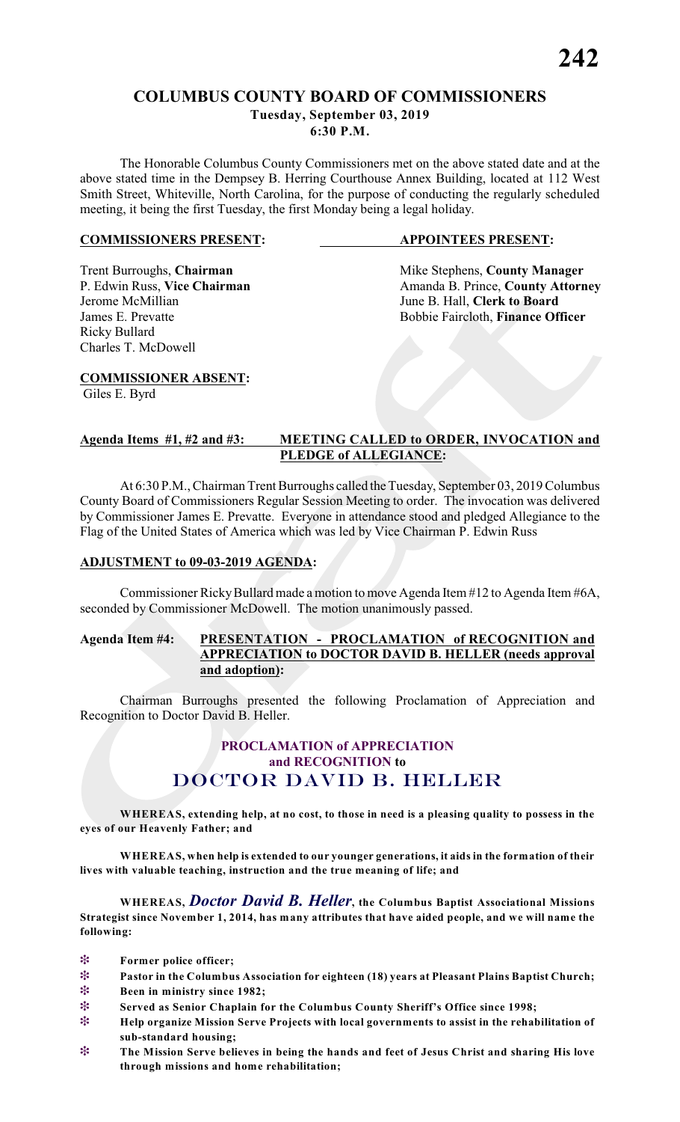## **COLUMBUS COUNTY BOARD OF COMMISSIONERS Tuesday, September 03, 2019**

**6:30 P.M.**

The Honorable Columbus County Commissioners met on the above stated date and at the above stated time in the Dempsey B. Herring Courthouse Annex Building, located at 112 West Smith Street, Whiteville, North Carolina, for the purpose of conducting the regularly scheduled meeting, it being the first Tuesday, the first Monday being a legal holiday.

#### **COMMISSIONERS PRESENT: APPOINTEES PRESENT:**

Ricky Bullard Charles T. McDowell

Trent Burroughs, **Chairman** Mike Stephens, **County Manager** P. Edwin Russ, Vice Chairman Manager Amanda B. Prince, **County Attorn** P. Edwin Russ, **Vice Chairman** Amanda B. Prince, **County Attorney**<br>Jerome McMillian June B. Hall. Clerk to Board June B. Hall, **Clerk to Board** James E. Prevatte **Bobbie Faircloth**, **Finance Officer** 

**COMMISSIONER ABSENT:**

Giles E. Byrd

#### **Agenda Items #1, #2 and #3: MEETING CALLED to ORDER, INVOCATION and PLEDGE of ALLEGIANCE:**

At 6:30 P.M., Chairman Trent Burroughs called the Tuesday, September 03, 2019 Columbus County Board of Commissioners Regular Session Meeting to order. The invocation was delivered by Commissioner James E. Prevatte. Everyone in attendance stood and pledged Allegiance to the Flag of the United States of America which was led by Vice Chairman P. Edwin Russ

#### **ADJUSTMENT to 09-03-2019 AGENDA:**

Commissioner RickyBullard made a motion to move Agenda Item #12 to Agenda Item #6A, seconded by Commissioner McDowell. The motion unanimously passed.

#### **Agenda Item #4: PRESENTATION - PROCLAMATION of RECOGNITION and APPRECIATION to DOCTOR DAVID B. HELLER (needs approval and adoption):**

Chairman Burroughs presented the following Proclamation of Appreciation and Recognition to Doctor David B. Heller.

## **PROCLAMATION of APPRECIATION and RECOGNITION to** *DOCTOR DAVID B. HELLER*

**WHEREAS, extending help, at no cost, to those in need is a pleasing quality to possess in the eyes of our Heavenly Father; and**

**WHEREAS, when help is extended to our younger generations, it aids in the formation of their lives with valuable teaching, instruction and the true meaning of life; and**

**WHEREAS,** *Doctor David B. Heller***, the Columbus Baptist Associational Missions Strategist since November 1, 2014, has many attributes that have aided people, and we will name the following:**

- **Former police officer;**
- **Pastor in the Columbus Association for eighteen (18) years at Pleasant Plains Baptist Church;**
- **Been in ministry since 1982;**
- **Served as Senior Chaplain for the Columbus County Sheriff's Office since 1998;**
- **Help organize Mission Serve Projects with local governments to assist in the rehabilitation of sub-standard housing;**
- **The Mission Serve believes in being the hands and feet of Jesus Christ and sharing His love through missions and home rehabilitation;**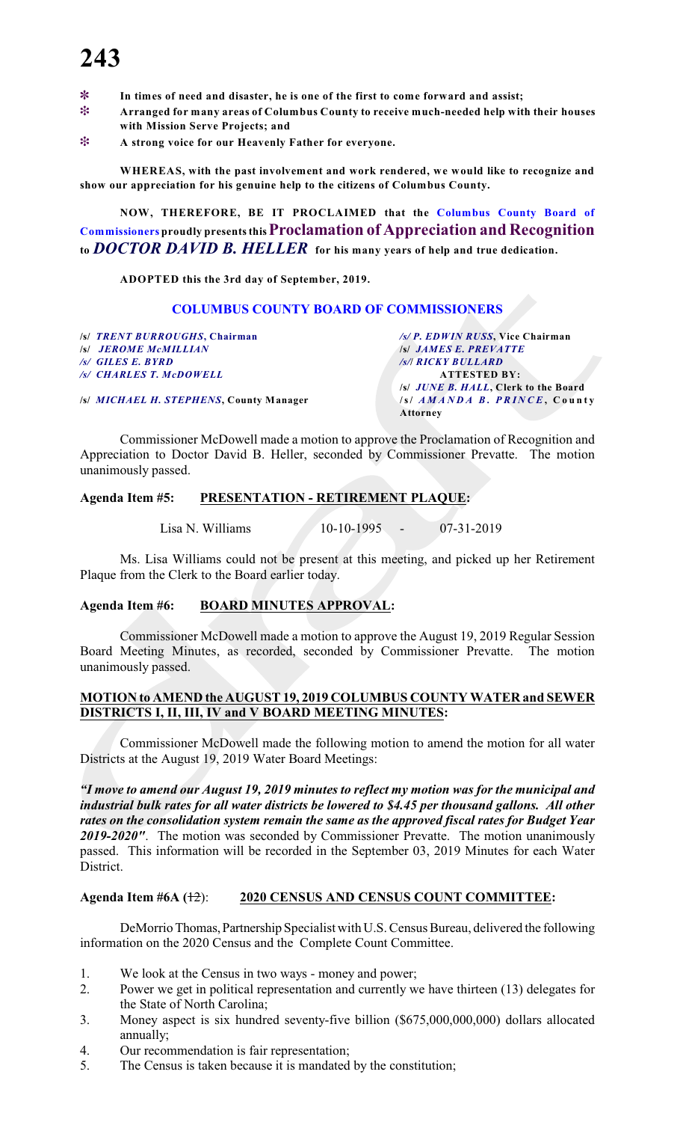- ~ **In times of need and disaster, he is one of the first to come forward and assist;**
- **Arranged for many areas of Columbus County to receive much-needed help with their houses with Mission Serve Projects; and**
- **A strong voice for our Heavenly Father for everyone.**

**WHEREAS, with the past involvement and work rendered, we would like to recognize and show our appreciation for his genuine help to the citizens of Columbus County.**

**NOW, THEREFORE, BE IT PROCLAIMED that the Columbus County Board of Commissioners proudly presents this Proclamation of Appreciation and Recognition to** *DOCTOR DAVID B. HELLER* **for his many years of help and true dedication.**

**ADOPTED this the 3rd day of September, 2019.**

#### **COLUMBUS COUNTY BOARD OF COMMISSIONERS**

**/s/** *TRENT BURROUGHS***, Chairman** */s/ P. EDWIN RUSS***, Vice Chairman** */s/ JEROME McMILLIAN /s/ GILES E. BYRD**/s/***/** *RICKY BULLARD /s/ CHARLES T. McDOWELL* **ATTESTED BY:**

**/s/** *MICHAEL H. STEPHENS***, County Manager /s/** *A M AND A B. PRI N C E* **, C o u n t y**

**/s/** *JUNE B. HALL***, Clerk to the Board Attorney**

Commissioner McDowell made a motion to approve the Proclamation of Recognition and Appreciation to Doctor David B. Heller, seconded by Commissioner Prevatte. The motion unanimously passed.

#### **Agenda Item #5: PRESENTATION - RETIREMENT PLAQUE:**

Lisa N. Williams 10-10-1995 - 07-31-2019

Ms. Lisa Williams could not be present at this meeting, and picked up her Retirement Plaque from the Clerk to the Board earlier today.

#### **Agenda Item #6: BOARD MINUTES APPROVAL:**

Commissioner McDowell made a motion to approve the August 19, 2019 Regular Session Board Meeting Minutes, as recorded, seconded by Commissioner Prevatte. The motion unanimously passed.

#### **MOTION to AMEND the AUGUST 19, 2019 COLUMBUS COUNTY WATER and SEWER DISTRICTS I, II, III, IV and V BOARD MEETING MINUTES:**

Commissioner McDowell made the following motion to amend the motion for all water Districts at the August 19, 2019 Water Board Meetings:

*"I move to amend our August 19, 2019 minutes to reflect my motion was for the municipal and industrial bulk rates for all water districts be lowered to \$4.45 per thousand gallons. All other rates on the consolidation system remain the same as the approved fiscal rates for Budget Year 2019-2020"*. The motion was seconded by Commissioner Prevatte. The motion unanimously passed. This information will be recorded in the September 03, 2019 Minutes for each Water District.

#### **Agenda Item #6A (**12): **2020 CENSUS AND CENSUS COUNT COMMITTEE:**

DeMorrio Thomas, Partnership Specialist with U.S. Census Bureau, delivered the following information on the 2020 Census and the Complete Count Committee.

- 1. We look at the Census in two ways money and power;
- 2. Power we get in political representation and currently we have thirteen (13) delegates for the State of North Carolina;
- 3. Money aspect is six hundred seventy-five billion (\$675,000,000,000) dollars allocated annually;
- 4. Our recommendation is fair representation;
- 5. The Census is taken because it is mandated by the constitution;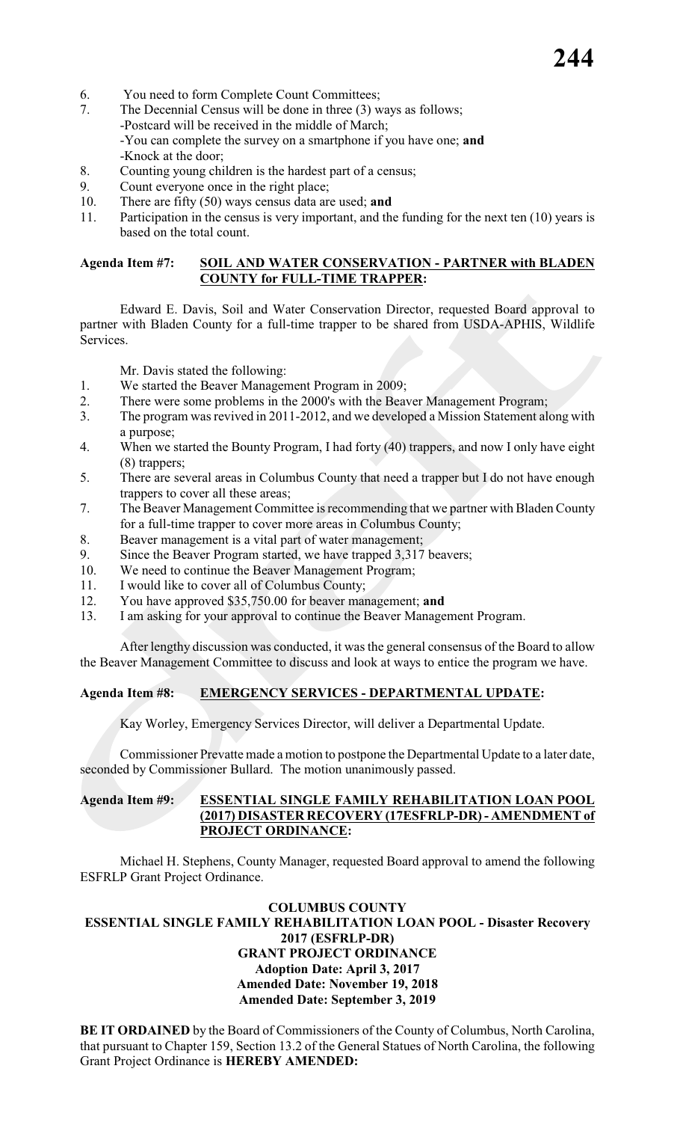- 6. You need to form Complete Count Committees;
- 7. The Decennial Census will be done in three (3) ways as follows; -Postcard will be received in the middle of March;
	- -You can complete the survey on a smartphone if you have one; **and** -Knock at the door;
- 8. Counting young children is the hardest part of a census;
- 9. Count everyone once in the right place;
- 10. There are fifty (50) ways census data are used; **and**
- 11. Participation in the census is very important, and the funding for the next ten (10) years is based on the total count.

#### **Agenda Item #7: SOIL AND WATER CONSERVATION - PARTNER with BLADEN COUNTY for FULL-TIME TRAPPER:**

Edward E. Davis, Soil and Water Conservation Director, requested Board approval to partner with Bladen County for a full-time trapper to be shared from USDA-APHIS, Wildlife Services.

Mr. Davis stated the following:

- 1. We started the Beaver Management Program in 2009;
- 2. There were some problems in the 2000's with the Beaver Management Program;
- 3. The program was revived in 2011-2012, and we developed a Mission Statement along with a purpose;
- 4. When we started the Bounty Program, I had forty (40) trappers, and now I only have eight (8) trappers;
- 5. There are several areas in Columbus County that need a trapper but I do not have enough trappers to cover all these areas;
- 7. The Beaver Management Committee is recommending that we partner with Bladen County for a full-time trapper to cover more areas in Columbus County;
- 8. Beaver management is a vital part of water management;
- 9. Since the Beaver Program started, we have trapped 3,317 beavers;
- 10. We need to continue the Beaver Management Program;
- 11. I would like to cover all of Columbus County;
- 12. You have approved \$35,750.00 for beaver management; **and**
- 13. I am asking for your approval to continue the Beaver Management Program.

After lengthy discussion was conducted, it was the general consensus of the Board to allow the Beaver Management Committee to discuss and look at ways to entice the program we have.

### **Agenda Item #8: EMERGENCY SERVICES - DEPARTMENTAL UPDATE:**

Kay Worley, Emergency Services Director, will deliver a Departmental Update.

Commissioner Prevatte made a motion to postpone the Departmental Update to a later date, seconded by Commissioner Bullard. The motion unanimously passed.

#### **Agenda Item #9: ESSENTIAL SINGLE FAMILY REHABILITATION LOAN POOL (2017) DISASTER RECOVERY (17ESFRLP-DR) - AMENDMENT of PROJECT ORDINANCE:**

Michael H. Stephens, County Manager, requested Board approval to amend the following ESFRLP Grant Project Ordinance.

#### **COLUMBUS COUNTY ESSENTIAL SINGLE FAMILY REHABILITATION LOAN POOL - Disaster Recovery 2017 (ESFRLP-DR) GRANT PROJECT ORDINANCE Adoption Date: April 3, 2017 Amended Date: November 19, 2018 Amended Date: September 3, 2019**

**BE IT ORDAINED** by the Board of Commissioners of the County of Columbus, North Carolina, that pursuant to Chapter 159, Section 13.2 of the General Statues of North Carolina, the following Grant Project Ordinance is **HEREBY AMENDED:**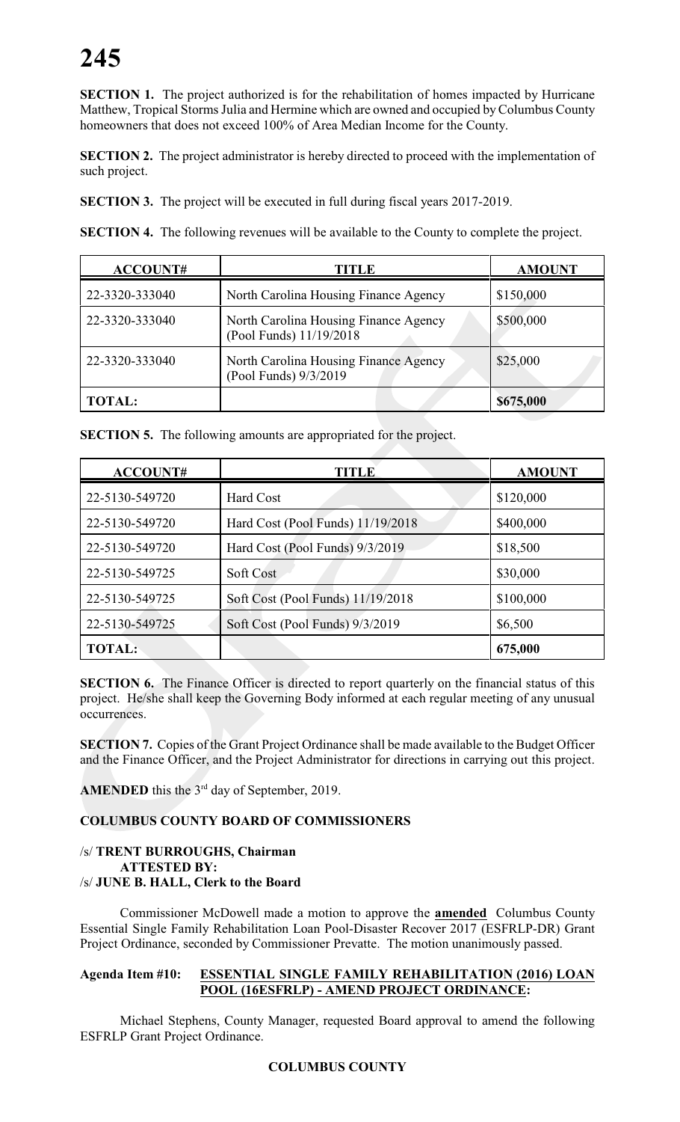**SECTION 1.** The project authorized is for the rehabilitation of homes impacted by Hurricane Matthew, Tropical Storms Julia and Hermine which are owned and occupied by Columbus County homeowners that does not exceed 100% of Area Median Income for the County.

**SECTION 2.** The project administrator is hereby directed to proceed with the implementation of such project.

**SECTION 3.** The project will be executed in full during fiscal years 2017-2019.

**SECTION 4.** The following revenues will be available to the County to complete the project.

| ACCOUNT#       | TITLE                                                            | <b>AMOUNT</b> |
|----------------|------------------------------------------------------------------|---------------|
| 22-3320-333040 | North Carolina Housing Finance Agency                            | \$150,000     |
| 22-3320-333040 | North Carolina Housing Finance Agency<br>(Pool Funds) 11/19/2018 | \$500,000     |
| 22-3320-333040 | North Carolina Housing Finance Agency<br>(Pool Funds) 9/3/2019   | \$25,000      |
| <b>TOTAL:</b>  |                                                                  | \$675,000     |

**SECTION 5.** The following amounts are appropriated for the project.

| <b>ACCOUNT#</b> | TITLE                             | <b>AMOUNT</b> |
|-----------------|-----------------------------------|---------------|
| 22-5130-549720  | <b>Hard Cost</b>                  | \$120,000     |
| 22-5130-549720  | Hard Cost (Pool Funds) 11/19/2018 | \$400,000     |
| 22-5130-549720  | Hard Cost (Pool Funds) 9/3/2019   | \$18,500      |
| 22-5130-549725  | Soft Cost                         | \$30,000      |
| 22-5130-549725  | Soft Cost (Pool Funds) 11/19/2018 | \$100,000     |
| 22-5130-549725  | Soft Cost (Pool Funds) 9/3/2019   | \$6,500       |
| <b>TOTAL:</b>   |                                   | 675,000       |

**SECTION 6.** The Finance Officer is directed to report quarterly on the financial status of this project. He/she shall keep the Governing Body informed at each regular meeting of any unusual occurrences.

**SECTION 7.** Copies of the Grant Project Ordinance shall be made available to the Budget Officer and the Finance Officer, and the Project Administrator for directions in carrying out this project.

**AMENDED** this the  $3<sup>rd</sup>$  day of September, 2019.

### **COLUMBUS COUNTY BOARD OF COMMISSIONERS**

#### /s/ **TRENT BURROUGHS, Chairman ATTESTED BY:** /s/ **JUNE B. HALL, Clerk to the Board**

Commissioner McDowell made a motion to approve the **amended** Columbus County Essential Single Family Rehabilitation Loan Pool-Disaster Recover 2017 (ESFRLP-DR) Grant Project Ordinance, seconded by Commissioner Prevatte. The motion unanimously passed.

#### **Agenda Item #10: ESSENTIAL SINGLE FAMILY REHABILITATION (2016) LOAN POOL (16ESFRLP) - AMEND PROJECT ORDINANCE:**

Michael Stephens, County Manager, requested Board approval to amend the following ESFRLP Grant Project Ordinance.

#### **COLUMBUS COUNTY**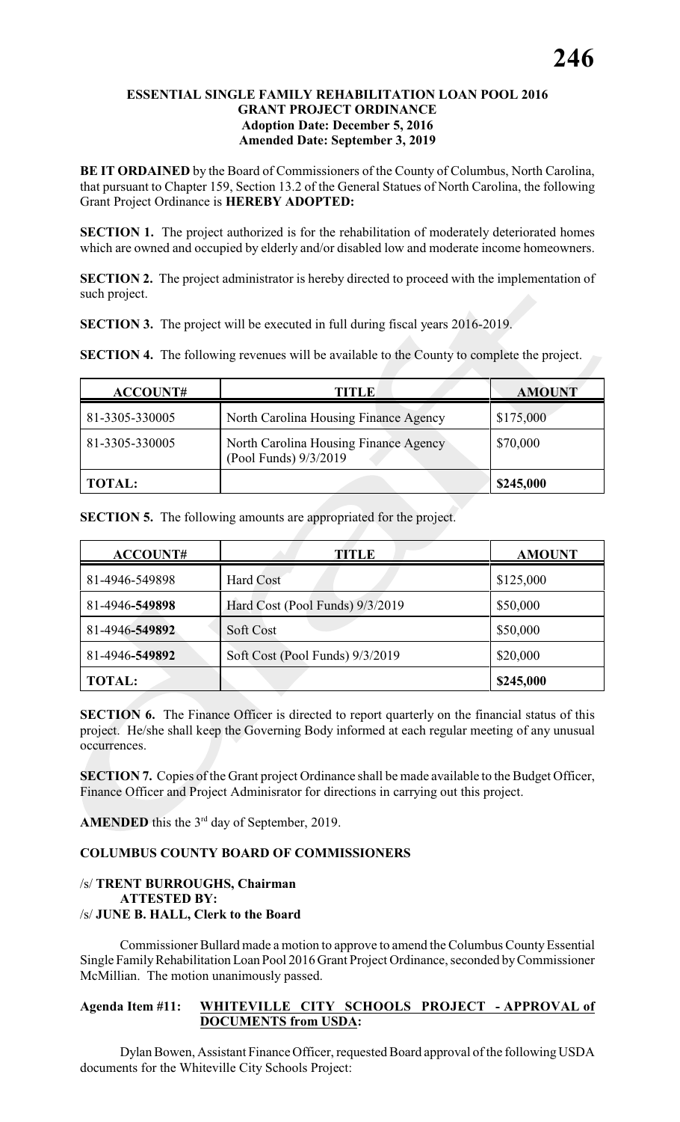#### **ESSENTIAL SINGLE FAMILY REHABILITATION LOAN POOL 2016 GRANT PROJECT ORDINANCE Adoption Date: December 5, 2016 Amended Date: September 3, 2019**

**BE IT ORDAINED** by the Board of Commissioners of the County of Columbus, North Carolina, that pursuant to Chapter 159, Section 13.2 of the General Statues of North Carolina, the following Grant Project Ordinance is **HEREBY ADOPTED:**

**SECTION 1.** The project authorized is for the rehabilitation of moderately deteriorated homes which are owned and occupied by elderly and/or disabled low and moderate income homeowners.

**SECTION 2.** The project administrator is hereby directed to proceed with the implementation of such project.

**SECTION 3.** The project will be executed in full during fiscal years 2016-2019.

**SECTION 4.** The following revenues will be available to the County to complete the project.

| <b>ACCOUNT#</b> | TITLE                                                          | <b>AMOUNT</b> |
|-----------------|----------------------------------------------------------------|---------------|
| 81-3305-330005  | North Carolina Housing Finance Agency                          | \$175,000     |
| 81-3305-330005  | North Carolina Housing Finance Agency<br>(Pool Funds) 9/3/2019 | \$70,000      |
| <b>TOTAL:</b>   |                                                                | \$245,000     |

**SECTION 5.** The following amounts are appropriated for the project.

| ACCOUNT#       | <b>TITLE</b>                    | <b>AMOUNT</b> |
|----------------|---------------------------------|---------------|
| 81-4946-549898 | <b>Hard Cost</b>                | \$125,000     |
| 81-4946-549898 | Hard Cost (Pool Funds) 9/3/2019 | \$50,000      |
| 81-4946-549892 | Soft Cost                       | \$50,000      |
| 81-4946-549892 | Soft Cost (Pool Funds) 9/3/2019 | \$20,000      |
| <b>TOTAL:</b>  |                                 | \$245,000     |

**SECTION 6.** The Finance Officer is directed to report quarterly on the financial status of this project. He/she shall keep the Governing Body informed at each regular meeting of any unusual occurrences.

**SECTION 7.** Copies of the Grant project Ordinance shall be made available to the Budget Officer, Finance Officer and Project Adminisrator for directions in carrying out this project.

**AMENDED** this the  $3<sup>rd</sup>$  day of September, 2019.

#### **COLUMBUS COUNTY BOARD OF COMMISSIONERS**

#### /s/ **TRENT BURROUGHS, Chairman ATTESTED BY:** /s/ **JUNE B. HALL, Clerk to the Board**

Commissioner Bullard made a motion to approve to amend the Columbus County Essential Single FamilyRehabilitation Loan Pool 2016 Grant Project Ordinance, seconded by Commissioner McMillian. The motion unanimously passed.

#### **Agenda Item #11: WHITEVILLE CITY SCHOOLS PROJECT - APPROVAL of DOCUMENTS from USDA:**

Dylan Bowen, Assistant Finance Officer, requested Board approval of the following USDA documents for the Whiteville City Schools Project: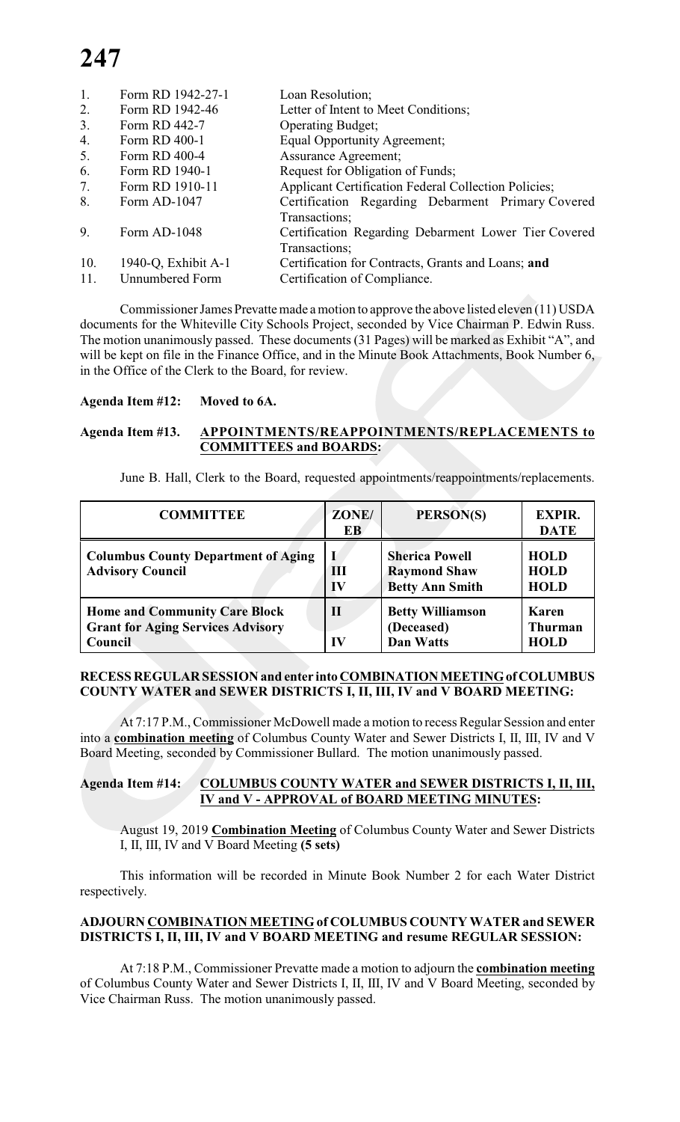| 1.  | Form RD 1942-27-1   | Loan Resolution;                                            |
|-----|---------------------|-------------------------------------------------------------|
| 2.  | Form RD 1942-46     | Letter of Intent to Meet Conditions;                        |
| 3.  | Form RD 442-7       | <b>Operating Budget;</b>                                    |
| 4.  | Form RD 400-1       | Equal Opportunity Agreement;                                |
| 5.  | Form RD 400-4       | <b>Assurance Agreement;</b>                                 |
| 6.  | Form RD 1940-1      | Request for Obligation of Funds;                            |
| 7.  | Form RD 1910-11     | <b>Applicant Certification Federal Collection Policies;</b> |
| 8.  | Form AD-1047        | Certification Regarding Debarment Primary Covered           |
|     |                     | Transactions;                                               |
| 9.  | Form AD-1048        | Certification Regarding Debarment Lower Tier Covered        |
|     |                     | Transactions;                                               |
| 10. | 1940-Q, Exhibit A-1 | Certification for Contracts, Grants and Loans; and          |
| 11. | Unnumbered Form     | Certification of Compliance.                                |

Commissioner James Prevatte made a motion to approve the above listed eleven (11) USDA documents for the Whiteville City Schools Project, seconded by Vice Chairman P. Edwin Russ. The motion unanimously passed. These documents (31 Pages) will be marked as Exhibit "A", and will be kept on file in the Finance Office, and in the Minute Book Attachments, Book Number 6, in the Office of the Clerk to the Board, for review.

#### **Agenda Item #12: Moved to 6A.**

#### **Agenda Item #13. APPOINTMENTS/REAPPOINTMENTS/REPLACEMENTS to COMMITTEES and BOARDS:**

June B. Hall, Clerk to the Board, requested appointments/reappointments/replacements.

| <b>COMMITTEE</b>                                                                            | ZONE/<br>EB        | PERSON(S)                                                              | <b>EXPIR.</b><br><b>DATE</b>              |
|---------------------------------------------------------------------------------------------|--------------------|------------------------------------------------------------------------|-------------------------------------------|
| <b>Columbus County Department of Aging</b><br><b>Advisory Council</b>                       | Ш<br>$\bf{IV}$     | <b>Sherica Powell</b><br><b>Raymond Shaw</b><br><b>Betty Ann Smith</b> | <b>HOLD</b><br><b>HOLD</b><br><b>HOLD</b> |
| <b>Home and Community Care Block</b><br><b>Grant for Aging Services Advisory</b><br>Council | $\mathbf{I}$<br>IV | <b>Betty Williamson</b><br>(Deceased)<br><b>Dan Watts</b>              | Karen<br><b>Thurman</b><br><b>HOLD</b>    |

#### **RECESS REGULAR SESSION and enter into COMBINATION MEETING of COLUMBUS COUNTY WATER and SEWER DISTRICTS I, II, III, IV and V BOARD MEETING:**

At 7:17 P.M., Commissioner McDowell made a motion to recess Regular Session and enter into a **combination meeting** of Columbus County Water and Sewer Districts I, II, III, IV and V Board Meeting, seconded by Commissioner Bullard. The motion unanimously passed.

#### **Agenda Item #14: COLUMBUS COUNTY WATER and SEWER DISTRICTS I, II, III, IV and V - APPROVAL of BOARD MEETING MINUTES:**

August 19, 2019 **Combination Meeting** of Columbus County Water and Sewer Districts I, II, III, IV and V Board Meeting **(5 sets)**

This information will be recorded in Minute Book Number 2 for each Water District respectively.

#### **ADJOURN COMBINATION MEETING of COLUMBUS COUNTY WATER and SEWER DISTRICTS I, II, III, IV and V BOARD MEETING and resume REGULAR SESSION:**

At 7:18 P.M., Commissioner Prevatte made a motion to adjourn the **combination meeting** of Columbus County Water and Sewer Districts I, II, III, IV and V Board Meeting, seconded by Vice Chairman Russ. The motion unanimously passed.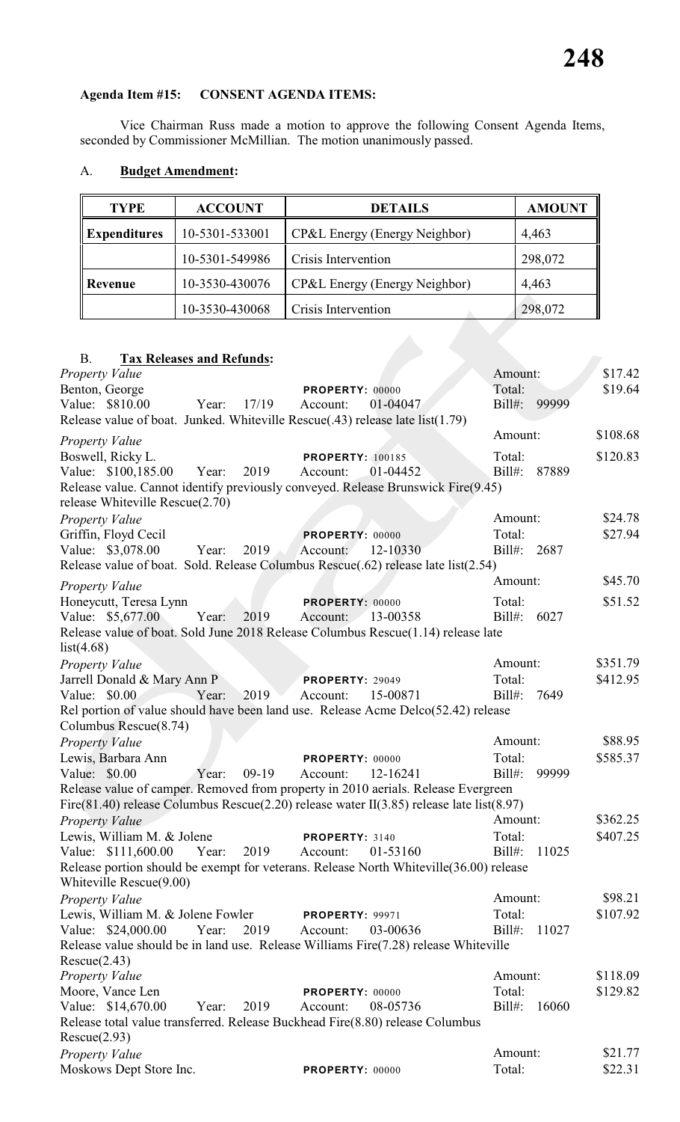Vice Chairman Russ made a motion to approve the following Consent Agenda Items, seconded by Commissioner McMillian. The motion unanimously passed.

| <b>TYPE</b>         | <b>ACCOUNT</b> | <b>DETAILS</b>                | <b>AMOUNT</b> |
|---------------------|----------------|-------------------------------|---------------|
| <b>Expenditures</b> | 10-5301-533001 | CP&L Energy (Energy Neighbor) | 4,463         |
|                     | 10-5301-549986 | Crisis Intervention           | 298,072       |
| Revenue             | 10-3530-430076 | CP&L Energy (Energy Neighbor) | 4,463         |
|                     | 10-3530-430068 | Crisis Intervention           | 298,072       |

### A. **Budget Amendment:**

### B. **Tax Releases and Refunds:**

| Property Value                                                                                |                         | Amount:            | \$17.42  |
|-----------------------------------------------------------------------------------------------|-------------------------|--------------------|----------|
| Benton, George                                                                                | <b>PROPERTY: 00000</b>  | Total:             | \$19.64  |
| Value: \$810.00<br>Year: $17/19$                                                              | 01-04047<br>Account:    | Bill#: 99999       |          |
| Release value of boat. Junked. Whiteville Rescue(.43) release late list(1.79)                 |                         |                    |          |
| <b>Property Value</b>                                                                         |                         | Amount:            | \$108.68 |
| Boswell, Ricky L.                                                                             | <b>PROPERTY: 100185</b> | Total:             | \$120.83 |
| Value: \$100,185.00<br>2019<br>Year:                                                          | 01-04452<br>Account:    | $Bill#$ :<br>87889 |          |
| Release value. Cannot identify previously conveyed. Release Brunswick Fire(9.45)              |                         |                    |          |
| release Whiteville Rescue(2.70)                                                               |                         |                    |          |
| Property Value                                                                                |                         | Amount:            | \$24.78  |
| Griffin, Floyd Cecil                                                                          | PROPERTY: 00000         | Total:             | \$27.94  |
| Value: \$3,078.00<br>Year:<br>2019                                                            | 12-10330<br>Account:    | Bill#: 2687        |          |
| Release value of boat. Sold. Release Columbus Rescue(.62) release late list(2.54)             |                         |                    |          |
| <b>Property Value</b>                                                                         |                         | Amount:            | \$45.70  |
| Honeycutt, Teresa Lynn                                                                        | PROPERTY: 00000         | Total:             | \$51.52  |
| Value: \$5,677.00<br>Year:<br>2019                                                            | Account: 13-00358       | $Bill#$ :<br>6027  |          |
| Release value of boat. Sold June 2018 Release Columbus Rescue(1.14) release late              |                         |                    |          |
| list(4.68)                                                                                    |                         |                    |          |
| Property Value                                                                                |                         | Amount:            | \$351.79 |
| Jarrell Donald & Mary Ann P                                                                   | <b>PROPERTY: 29049</b>  | Total:             | \$412.95 |
| Value: \$0.00<br>Year:<br>2019                                                                | Account:<br>15-00871    | 7649<br>$Bill#$ :  |          |
| Rel portion of value should have been land use. Release Acme Delco(52.42) release             |                         |                    |          |
| Columbus Rescue(8.74)                                                                         |                         |                    |          |
| Property Value                                                                                |                         | Amount:            | \$88.95  |
| Lewis, Barbara Ann                                                                            | PROPERTY: 00000         | Total:             | \$585.37 |
| Value: \$0.00<br>Year:<br>$09-19$                                                             | 12-16241<br>Account:    | 99999<br>$Bill#$ : |          |
| Release value of camper. Removed from property in 2010 aerials. Release Evergreen             |                         |                    |          |
| Fire(81.40) release Columbus Rescue(2.20) release water II(3.85) release late list(8.97)      |                         |                    |          |
| Property Value                                                                                |                         | Amount:            | \$362.25 |
| Lewis, William M. & Jolene                                                                    | PROPERTY: 3140          | Total:             | \$407.25 |
| Value: \$111,600.00 Year:<br>2019                                                             | 01-53160<br>Account:    | $Bill#$ :<br>11025 |          |
| Release portion should be exempt for veterans. Release North Whiteville(36.00) release        |                         |                    |          |
| Whiteville Rescue(9.00)                                                                       |                         |                    |          |
| <b>Property Value</b>                                                                         |                         | Amount:            | \$98.21  |
| Lewis, William M. & Jolene Fowler                                                             | <b>PROPERTY: 99971</b>  | Total:             | \$107.92 |
| 2019<br>Value: \$24,000.00<br>Year:                                                           | 03-00636<br>Account:    | $Bill#$ :<br>11027 |          |
| Release value should be in land use. Release Williams Fire(7.28) release Whiteville           |                         |                    |          |
| Rescue(2.43)                                                                                  |                         |                    |          |
| Property Value                                                                                |                         | Amount:            | \$118.09 |
| Moore, Vance Len                                                                              | PROPERTY: 00000         | Total:             | \$129.82 |
| Value: \$14,670.00<br>2019<br>Year:                                                           | 08-05736<br>Account:    | $Bill#$ :<br>16060 |          |
| Release total value transferred. Release Buckhead Fire(8.80) release Columbus<br>Rescue(2.93) |                         |                    |          |
|                                                                                               |                         | Amount:            | \$21.77  |
| <b>Property Value</b><br>Moskows Dept Store Inc.                                              |                         | Total:             | \$22.31  |
|                                                                                               | PROPERTY: 00000         |                    |          |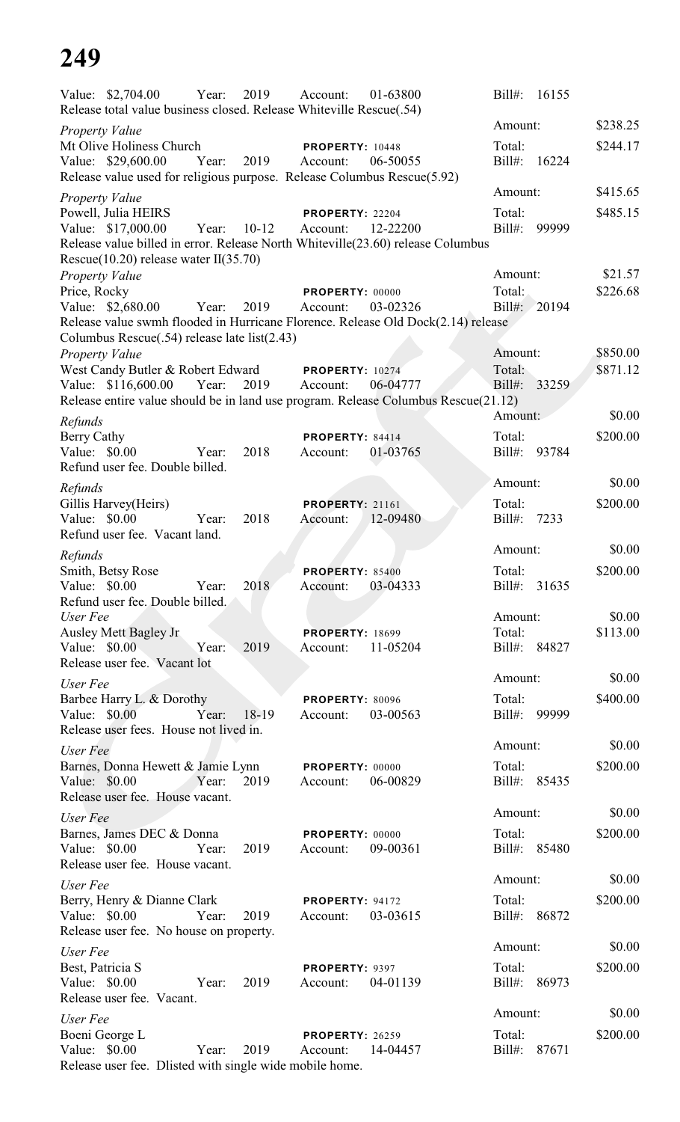| Value: \$2,704.00                                                                                                              | Year: | 2019    | Account:                           | 01-63800 | $Bill#$ :              | 16155 |          |
|--------------------------------------------------------------------------------------------------------------------------------|-------|---------|------------------------------------|----------|------------------------|-------|----------|
| Release total value business closed. Release Whiteville Rescue(.54)                                                            |       |         |                                    |          | Amount:                |       | \$238.25 |
| <b>Property Value</b><br>Mt Olive Holiness Church                                                                              |       |         | PROPERTY: 10448                    |          | Total:                 |       | \$244.17 |
| Value: \$29,600.00                                                                                                             | Year: | 2019    | Account:                           | 06-50055 | $Bill#$ :              | 16224 |          |
| Release value used for religious purpose. Release Columbus Rescue(5.92)                                                        |       |         |                                    |          |                        |       |          |
| Property Value                                                                                                                 |       |         |                                    |          | Amount:                |       | \$415.65 |
| Powell, Julia HEIRS                                                                                                            |       |         | PROPERTY: 22204                    |          | Total:                 |       | \$485.15 |
| Value: \$17,000.00                                                                                                             | Year: | $10-12$ | Account:                           | 12-22200 | $Bill#$ :              | 99999 |          |
| Release value billed in error. Release North Whiteville(23.60) release Columbus<br>Rescue $(10.20)$ release water II $(35.70)$ |       |         |                                    |          |                        |       |          |
| <b>Property Value</b>                                                                                                          |       |         |                                    |          | Amount:                |       | \$21.57  |
| Price, Rocky                                                                                                                   |       |         | PROPERTY: 00000                    |          | Total:                 |       | \$226.68 |
| Value: \$2,680.00                                                                                                              | Year: | 2019    | Account:                           | 03-02326 | Bill#: 20194           |       |          |
| Release value swmh flooded in Hurricane Florence. Release Old Dock(2.14) release                                               |       |         |                                    |          |                        |       |          |
| Columbus Rescue(.54) release late list(2.43)                                                                                   |       |         |                                    |          | Amount:                |       | \$850.00 |
| <b>Property Value</b><br>West Candy Butler & Robert Edward                                                                     |       |         | <b>PROPERTY: 10274</b>             |          | Total:                 |       | \$871.12 |
| Value: \$116,600.00                                                                                                            | Year: | 2019    | Account:                           | 06-04777 | Bill#:                 | 33259 |          |
| Release entire value should be in land use program. Release Columbus Rescue(21.12)                                             |       |         |                                    |          |                        |       |          |
| Refunds                                                                                                                        |       |         |                                    |          | Amount:                |       | \$0.00   |
| <b>Berry Cathy</b>                                                                                                             |       |         | PROPERTY: 84414                    |          | Total:                 |       | \$200.00 |
| Value: \$0.00                                                                                                                  | Year: | 2018    | Account:                           | 01-03765 | Bill#: 93784           |       |          |
| Refund user fee. Double billed.                                                                                                |       |         |                                    |          |                        |       |          |
| Refunds                                                                                                                        |       |         |                                    |          | Amount:                |       | \$0.00   |
| Gillis Harvey(Heirs)<br>Value: \$0.00                                                                                          | Year: | 2018    | <b>PROPERTY: 21161</b><br>Account: | 12-09480 | Total:<br>Bill#:       | 7233  | \$200.00 |
| Refund user fee. Vacant land.                                                                                                  |       |         |                                    |          |                        |       |          |
| Refunds                                                                                                                        |       |         |                                    |          | Amount:                |       | \$0.00   |
| Smith, Betsy Rose                                                                                                              |       |         | <b>PROPERTY: 85400</b>             |          | Total:                 |       | \$200.00 |
| Value: \$0.00                                                                                                                  | Year: | 2018    | Account: 03-04333                  |          | Bill#: 31635           |       |          |
| Refund user fee. Double billed.                                                                                                |       |         |                                    |          |                        |       |          |
| User Fee                                                                                                                       |       |         |                                    |          | Amount:                |       | \$0.00   |
| Ausley Mett Bagley Jr<br>Value: $$0.00$                                                                                        | Year: | 2019    | <b>PROPERTY: 18699</b><br>Account: | 11-05204 | Total:<br>Bill#: 84827 |       | \$113.00 |
| Release user fee. Vacant lot                                                                                                   |       |         |                                    |          |                        |       |          |
| User Fee                                                                                                                       |       |         |                                    |          | Amount:                |       | \$0.00   |
| Barbee Harry L. & Dorothy                                                                                                      |       |         | PROPERTY: 80096                    |          | Total:                 |       | \$400.00 |
| Value: \$0.00                                                                                                                  | Year: | 18-19   | Account:                           | 03-00563 | Bill#: 99999           |       |          |
| Release user fees. House not lived in.                                                                                         |       |         |                                    |          |                        |       |          |
| User Fee                                                                                                                       |       |         |                                    |          | Amount:                |       | \$0.00   |
| Barnes, Donna Hewett & Jamie Lynn                                                                                              |       |         | <b>PROPERTY: 00000</b>             |          | Total:                 |       | \$200.00 |
| Value: \$0.00<br>Release user fee. House vacant.                                                                               | Year: | 2019    | Account:                           | 06-00829 | Bill#: 85435           |       |          |
|                                                                                                                                |       |         |                                    |          | Amount:                |       | \$0.00   |
| User Fee<br>Barnes, James DEC & Donna                                                                                          |       |         | PROPERTY: 00000                    |          | Total:                 |       | \$200.00 |
| Value: \$0.00                                                                                                                  | Year: | 2019    | Account:                           | 09-00361 | Bill#: 85480           |       |          |
| Release user fee. House vacant.                                                                                                |       |         |                                    |          |                        |       |          |
| User Fee                                                                                                                       |       |         |                                    |          | Amount:                |       | \$0.00   |
| Berry, Henry & Dianne Clark                                                                                                    |       |         | PROPERTY: 94172                    |          | Total:                 |       | \$200.00 |
| Value: \$0.00                                                                                                                  | Year: | 2019    | Account:                           | 03-03615 | Bill#:                 | 86872 |          |
| Release user fee. No house on property.                                                                                        |       |         |                                    |          | Amount:                |       | \$0.00   |
| User Fee                                                                                                                       |       |         |                                    |          |                        |       |          |
| Best, Patricia S<br>Value: \$0.00                                                                                              |       | 2019    | PROPERTY: 9397                     |          | Total:                 |       | \$200.00 |
| Release user fee. Vacant.                                                                                                      | Year: |         | Account:                           | 04-01139 | $Bill#$ :              | 86973 |          |
| User Fee                                                                                                                       |       |         |                                    |          | Amount:                |       | \$0.00   |
| Boeni George L                                                                                                                 |       |         | <b>PROPERTY: 26259</b>             |          | Total:                 |       | \$200.00 |
| Value: \$0.00                                                                                                                  | Year: | 2019    | Account:                           | 14-04457 | Bill#:                 | 87671 |          |
| Release user fee. Dlisted with single wide mobile home.                                                                        |       |         |                                    |          |                        |       |          |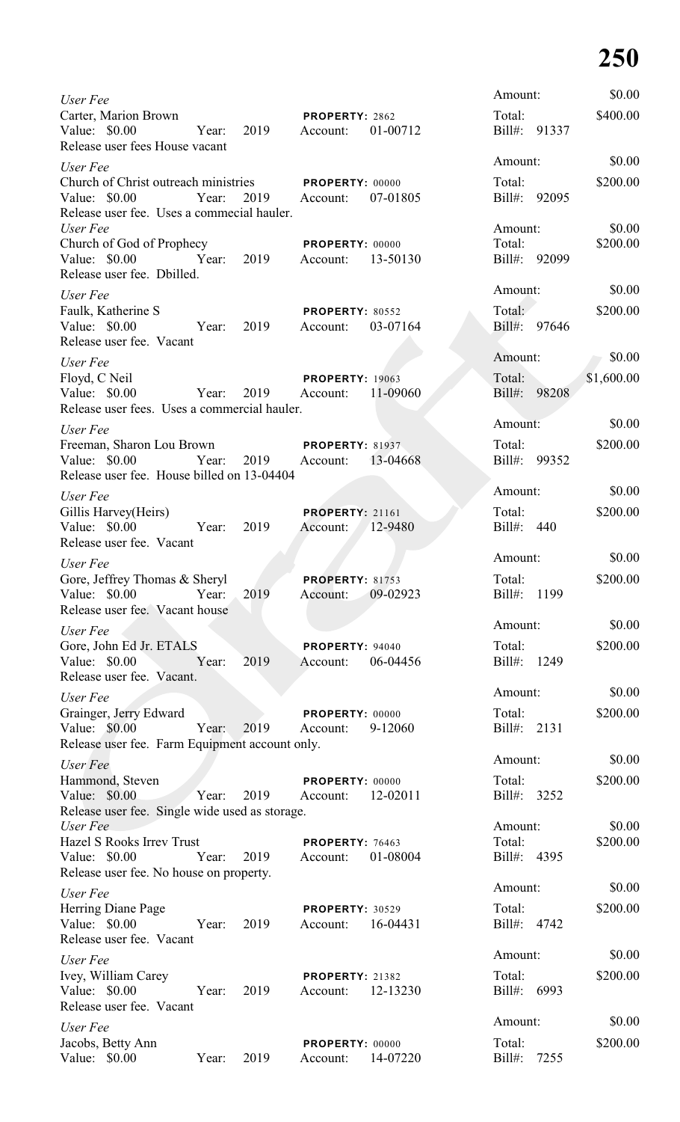| User Fee                                                                                                            |       |            |                                             |          | Amount:                     |              | \$0.00             |
|---------------------------------------------------------------------------------------------------------------------|-------|------------|---------------------------------------------|----------|-----------------------------|--------------|--------------------|
| Carter, Marion Brown<br>Value: \$0.00 Year:<br>Release user fees House vacant                                       |       | 2019       | PROPERTY: 2862<br>Account:                  | 01-00712 | Total:                      | Bill#: 91337 | \$400.00           |
| User Fee                                                                                                            |       |            |                                             |          | Amount:                     |              | \$0.00             |
| Church of Christ outreach ministries PROPERTY: 00000<br>Value: \$0.00<br>Release user fee. Uses a commecial hauler. | Year: | 2019       | Account:                                    | 07-01805 | Total:                      | Bill#: 92095 | \$200.00           |
| User Fee<br>Church of God of Prophecy<br>Value: \$0.00<br>Release user fee. Dbilled.                                |       | Year: 2019 | <b>PROPERTY: 00000</b><br>Account: 13-50130 |          | Amount:<br>Total:           | Bill#: 92099 | \$0.00<br>\$200.00 |
| User Fee                                                                                                            |       |            |                                             |          | Amount:                     |              | \$0.00             |
| Faulk, Katherine S<br>Value: \$0.00<br>Release user fee. Vacant                                                     |       | Year: 2019 | <b>PROPERTY: 80552</b><br>Account:          | 03-07164 | Total:                      | Bill#: 97646 | \$200.00           |
| User Fee                                                                                                            |       |            |                                             |          | Amount:                     |              | \$0.00             |
| Floyd, C Neil<br>Value: \$0.00<br>Year:<br>Release user fees. Uses a commercial hauler.                             |       | 2019       | <b>PROPERTY: 19063</b><br>Account: 11-09060 |          | Total:                      | Bill#: 98208 | \$1,600.00         |
| User Fee                                                                                                            |       |            |                                             |          | Amount:                     |              | \$0.00             |
| Freeman, Sharon Lou Brown PROPERTY: 81937<br>Value: \$0.00<br>Year:<br>Release user fee. House billed on 13-04404   |       |            | 2019 Account: 13-04668                      |          | Total:                      | Bill#: 99352 | \$200.00           |
| User Fee                                                                                                            |       |            |                                             |          | Amount:                     |              | \$0.00             |
| Gillis Harvey(Heirs)<br>Value: \$0.00 Year:<br>Release user fee. Vacant                                             |       | 2019       | PROPERTY: 21161<br>Account: 12-9480         |          | Total:<br>Bill#: 440        |              | \$200.00           |
| User Fee                                                                                                            |       |            |                                             |          | Amount:                     |              | \$0.00             |
| Gore, Jeffrey Thomas & Sheryl<br>Value: \$0.00<br>Release user fee. Vacant house                                    | Year: | 2019       | <b>PROPERTY: 81753</b><br>Account:          | 09-02923 | Total:<br>$Bill#$ :         | 1199         | \$200.00           |
| User Fee                                                                                                            |       |            |                                             |          | Amount:                     |              | \$0.00             |
| Gore, John Ed Jr. ETALS<br>Value: \$0.00<br>Release user fee. Vacant.                                               | Year: | 2019       | PROPERTY: 94040<br>Account:                 | 06-04456 | Total:<br>Bill#:            | 1249         | \$200.00           |
| User Fee                                                                                                            |       |            |                                             |          | Amount:                     |              | \$0.00             |
| Grainger, Jerry Edward<br>Value: \$0.00<br>Release user fee. Farm Equipment account only.                           | Year: | 2019       | PROPERTY: 00000<br>Account:                 | 9-12060  | Total:<br>Bill#:            | 2131         | \$200.00           |
| User Fee                                                                                                            |       |            |                                             |          | Amount:                     |              | \$0.00             |
| Hammond, Steven<br>Value: \$0.00<br>Release user fee. Single wide used as storage.                                  | Year: | 2019       | PROPERTY: 00000<br>Account:                 | 12-02011 | Total:<br>Bill#:            | 3252         | \$200.00           |
| User Fee<br><b>Hazel S Rooks Irrey Trust</b><br>Value: \$0.00<br>Release user fee. No house on property.            | Year: | 2019       | PROPERTY: 76463<br>Account:                 | 01-08004 | Amount:<br>Total:<br>Bill#: | 4395         | \$0.00<br>\$200.00 |
| User Fee                                                                                                            |       |            |                                             |          | Amount:                     |              | \$0.00             |
| Herring Diane Page<br>Value: \$0.00<br>Release user fee. Vacant                                                     | Year: | 2019       | <b>PROPERTY: 30529</b><br>Account:          | 16-04431 | Total:                      | Bill#: 4742  | \$200.00           |
| User Fee                                                                                                            |       |            |                                             |          | Amount:                     |              | \$0.00             |
| Ivey, William Carey<br>Value: \$0.00<br>Release user fee. Vacant                                                    | Year: | 2019       | PROPERTY: 21382<br>Account:                 | 12-13230 | Total:<br>Bill#: 6993       |              | \$200.00           |
| User Fee                                                                                                            |       |            |                                             |          | Amount:                     |              | \$0.00             |
| Jacobs, Betty Ann<br>Value: \$0.00                                                                                  | Year: | 2019       | PROPERTY: 00000<br>Account:                 | 14-07220 | Total:<br>Bill#:            | 7255         | \$200.00           |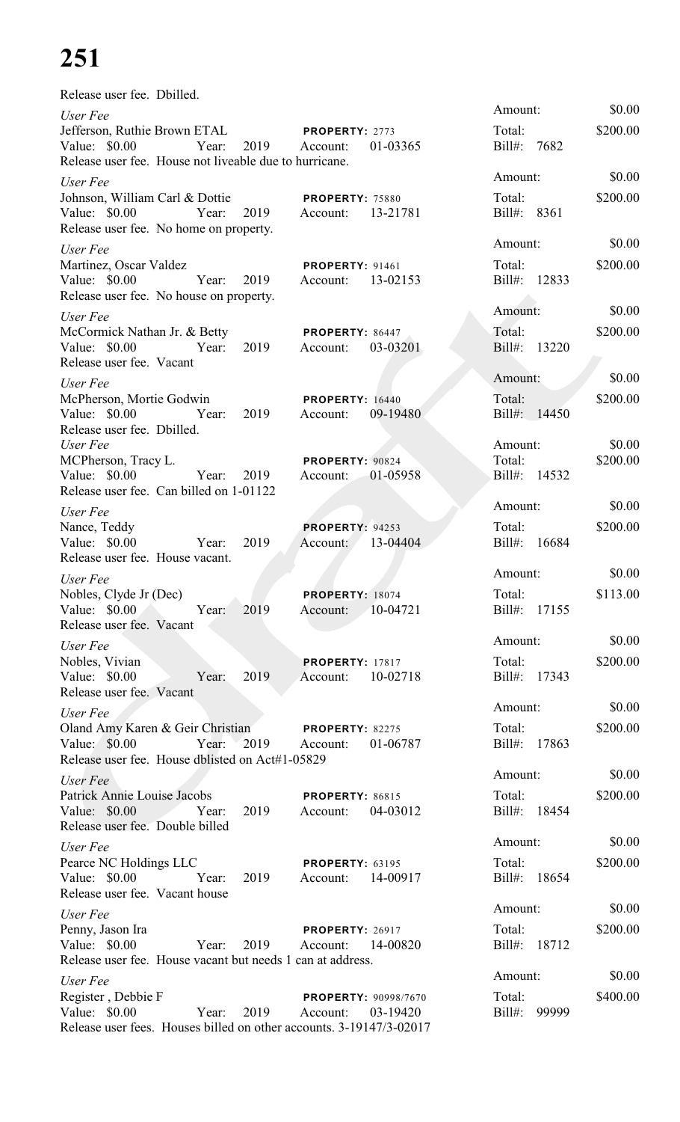Release user fee. Dbilled.

| User Fee                                                                                                   |       |       |      |                                         |            | Amount:                |       | \$0.00   |
|------------------------------------------------------------------------------------------------------------|-------|-------|------|-----------------------------------------|------------|------------------------|-------|----------|
| Jefferson, Ruthie Brown ETAL<br>Value: \$0.00                                                              |       | Year: | 2019 | PROPERTY: 2773<br>Account:              | 01-03365   | Total:<br>$Bill#$ :    | 7682  | \$200.00 |
| Release user fee. House not liveable due to hurricane.                                                     |       |       |      |                                         |            | Amount:                |       | \$0.00   |
| User Fee<br>Johnson, William Carl & Dottie<br>Value: \$0.00<br>Release user fee. No home on property.      |       | Year: | 2019 | <b>PROPERTY: 75880</b><br>Account:      | 13-21781   | Total:<br>Bill#: 8361  |       | \$200.00 |
| User Fee                                                                                                   |       |       |      |                                         |            | Amount:                |       | \$0.00   |
| Martinez, Oscar Valdez<br>Value: \$0.00<br>Release user fee. No house on property.                         |       | Year: | 2019 | <b>PROPERTY: 91461</b><br>Account:      | 13-02153   | Total:<br>Bill#: 12833 |       | \$200.00 |
| User Fee                                                                                                   |       |       |      |                                         |            | Amount:                |       | \$0.00   |
| McCormick Nathan Jr. & Betty<br>Value: $$0.00$<br>Release user fee. Vacant                                 |       | Year: | 2019 | PROPERTY: 86447<br>Account:             | 03-03201   | Total:<br>Bill#: 13220 |       | \$200.00 |
| User Fee                                                                                                   |       |       |      |                                         |            | Amount:                |       | \$0.00   |
| McPherson, Mortie Godwin<br>Value: \$0.00<br>Release user fee. Dbilled.                                    |       | Year: | 2019 | <b>PROPERTY: 16440</b><br>Account:      | 09-19480   | Total:<br>Bill#: 14450 |       | \$200.00 |
| User Fee                                                                                                   |       |       |      |                                         |            | Amount:                |       | \$0.00   |
| MCPherson, Tracy L.<br>Value: \$0.00<br>Release user fee. Can billed on 1-01122                            |       | Year: | 2019 | PROPERTY: 90824<br>Account:             | 01-05958   | Total:<br>Bill#: 14532 |       | \$200.00 |
| User Fee                                                                                                   |       |       |      |                                         |            | Amount:                |       | \$0.00   |
| Nance, Teddy<br>Value: \$0.00<br>Release user fee. House vacant.                                           | Year: |       | 2019 | PROPERTY: 94253<br>Account: 13-04404    |            | Total:<br>Bill#: 16684 |       | \$200.00 |
| User Fee                                                                                                   |       |       |      |                                         |            | Amount:                |       | \$0.00   |
| Nobles, Clyde Jr (Dec)<br>Value: \$0.00<br>Release user fee. Vacant                                        |       | Year: | 2019 | PROPERTY: 18074<br>Account:             | $10-04721$ | Total:<br>$Bill#$ :    | 17155 | \$113.00 |
| User Fee                                                                                                   |       |       |      |                                         |            | Amount:                |       | \$0.00   |
| Nobles, Vivian<br>Value: \$0.00<br>Release user fee. Vacant                                                |       | Year: | 2019 | <b>PROPERTY: 17817</b><br>Account:      | 10-02718   | Total:<br>Bill#: 17343 |       | \$200.00 |
| User Fee                                                                                                   |       |       |      |                                         |            | Amount:                |       | \$0.00   |
| Oland Amy Karen & Geir Christian<br>Value: \$0.00<br>Release user fee. House dblisted on Act#1-05829       |       | Year: | 2019 | PROPERTY: 82275<br>Account:             | 01-06787   | Total:<br>Bill#: 17863 |       | \$200.00 |
| User Fee                                                                                                   |       |       |      |                                         |            | Amount:                |       | \$0.00   |
| Patrick Annie Louise Jacobs<br>Value: \$0.00<br>Release user fee. Double billed                            |       | Year: | 2019 | PROPERTY: 86815<br>Account:             | 04-03012   | Total:<br>Bill#: 18454 |       | \$200.00 |
| User Fee                                                                                                   |       |       |      |                                         |            | Amount:                |       | \$0.00   |
| Pearce NC Holdings LLC<br>Value: \$0.00<br>Release user fee. Vacant house                                  |       | Year: | 2019 | <b>PROPERTY: 63195</b><br>Account:      | 14-00917   | Total:<br>Bill#:       | 18654 | \$200.00 |
| User Fee                                                                                                   |       |       |      |                                         |            | Amount:                |       | \$0.00   |
| Penny, Jason Ira<br>Value: \$0.00<br>Release user fee. House vacant but needs 1 can at address.            |       | Year: | 2019 | <b>PROPERTY: 26917</b><br>Account:      | 14-00820   | Total:<br>Bill#:       | 18712 | \$200.00 |
| User Fee                                                                                                   |       |       |      |                                         |            | Amount:                |       | \$0.00   |
| Register, Debbie F<br>Value: \$0.00<br>Release user fees. Houses billed on other accounts. 3-19147/3-02017 |       | Year: | 2019 | <b>PROPERTY: 90998/7670</b><br>Account: | 03-19420   | Total:<br>Bill#: 99999 |       | \$400.00 |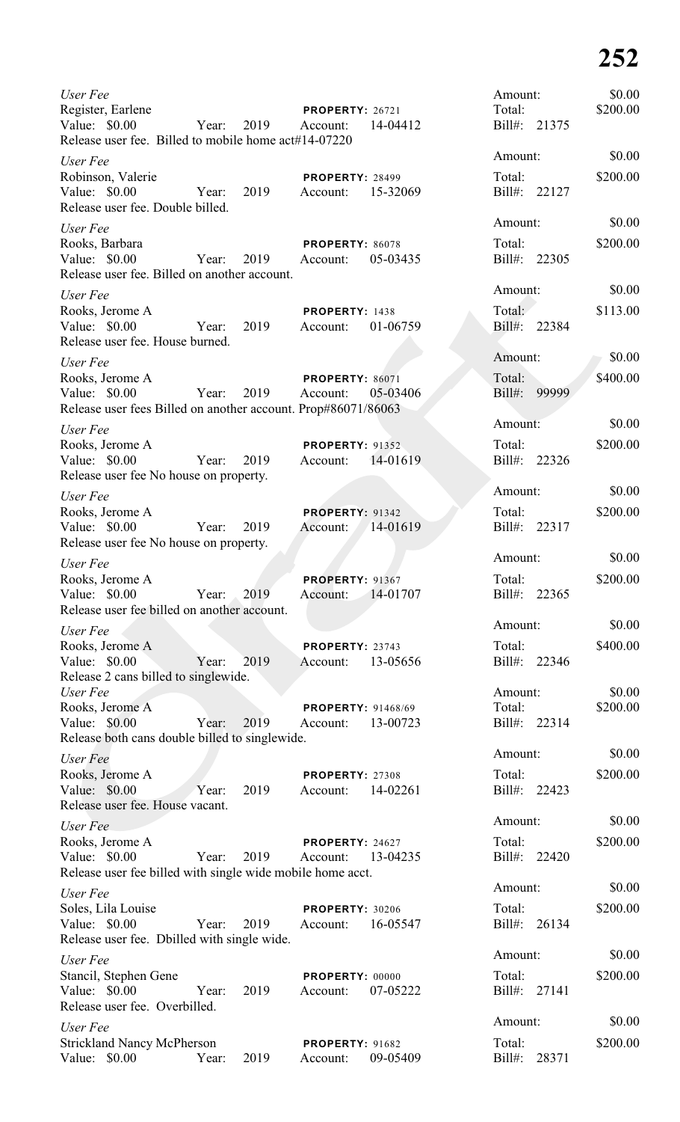| User Fee                                                                                                   |       |      |                                             |          | Amount:                |       | \$0.00   |
|------------------------------------------------------------------------------------------------------------|-------|------|---------------------------------------------|----------|------------------------|-------|----------|
| Register, Earlene<br>Value: \$0.00<br>Release user fee. Billed to mobile home act#14-07220                 | Year: | 2019 | <b>PROPERTY: 26721</b><br>Account:          | 14-04412 | Total:<br>Bill#: 21375 |       | \$200.00 |
| User Fee                                                                                                   |       |      |                                             |          | Amount:                |       | \$0.00   |
| Robinson, Valerie<br>Value: \$0.00<br>Release user fee. Double billed.                                     | Year: | 2019 | <b>PROPERTY: 28499</b><br>Account: 15-32069 |          | Total:<br>Bill#: 22127 |       | \$200.00 |
| User Fee                                                                                                   |       |      |                                             |          | Amount:                |       | \$0.00   |
| Rooks, Barbara<br>Value: \$0.00<br>Release user fee. Billed on another account.                            | Year: | 2019 | <b>PROPERTY: 86078</b><br>Account:          | 05-03435 | Total:<br>Bill#: 22305 |       | \$200.00 |
| User Fee                                                                                                   |       |      |                                             |          | Amount:                |       | \$0.00   |
| Rooks, Jerome A<br>Value: \$0.00<br>Release user fee. House burned.                                        | Year: | 2019 | PROPERTY: 1438<br>Account:                  | 01-06759 | Total:<br>Bill#: 22384 |       | \$113.00 |
| User Fee                                                                                                   |       |      |                                             |          | Amount:                |       | \$0.00   |
| Rooks, Jerome A<br>Value: \$0.00<br>Release user fees Billed on another account. Prop#86071/86063          | Year: | 2019 | <b>PROPERTY: 86071</b><br>Account:          | 05-03406 | Total:<br>Bill#:       | 99999 | \$400.00 |
| User Fee                                                                                                   |       |      |                                             |          | Amount:                |       | \$0.00   |
| Rooks, Jerome A<br>Value: \$0.00<br>Release user fee No house on property.                                 | Year: | 2019 | <b>PROPERTY: 91352</b><br>Account:          | 14-01619 | Total:<br>Bill#: 22326 |       | \$200.00 |
| User Fee                                                                                                   |       |      |                                             |          | Amount:                |       | \$0.00   |
| Rooks, Jerome A<br>Value: \$0.00<br>Release user fee No house on property.                                 | Year: | 2019 | PROPERTY: 91342<br>Account:                 | 14-01619 | Total:<br>Bill#: 22317 |       | \$200.00 |
| User Fee                                                                                                   |       |      |                                             |          | Amount:                |       | \$0.00   |
| Rooks, Jerome A<br>Value: \$0.00<br>Release user fee billed on another account.                            | Year: | 2019 | <b>PROPERTY: 91367</b><br>Account:          | 14-01707 | Total:<br>$Bill#$ :    | 22365 | \$200.00 |
| User Fee                                                                                                   |       |      |                                             |          | Amount:                |       | \$0.00   |
| Rooks, Jerome A<br>Value: \$0.00<br>Release 2 cans billed to singlewide.                                   | Year: | 2019 | PROPERTY: 23743<br>Account:                 | 13-05656 | Total:<br>Bill#:       | 22346 | \$400.00 |
| User Fee                                                                                                   |       |      |                                             |          | Amount:                |       | \$0.00   |
| Rooks, Jerome A<br>Value: \$0.00<br>Release both cans double billed to singlewide.                         | Year: | 2019 | <b>PROPERTY: 91468/69</b><br>Account:       | 13-00723 | Total:<br>Bill#: 22314 |       | \$200.00 |
| User Fee                                                                                                   |       |      |                                             |          | Amount:                |       | \$0.00   |
| Rooks, Jerome A<br>Value: \$0.00<br>Release user fee. House vacant.                                        | Year: | 2019 | PROPERTY: 27308<br>Account:                 | 14-02261 | Total:<br>Bill#: 22423 |       | \$200.00 |
|                                                                                                            |       |      |                                             |          | Amount:                |       | \$0.00   |
| User Fee<br>Rooks, Jerome A<br>Value: \$0.00<br>Release user fee billed with single wide mobile home acct. | Year: | 2019 | PROPERTY: 24627<br>Account:                 | 13-04235 | Total:<br>Bill#: 22420 |       | \$200.00 |
| User Fee                                                                                                   |       |      |                                             |          | Amount:                |       | \$0.00   |
| Soles, Lila Louise<br>Value: \$0.00<br>Release user fee. Dbilled with single wide.                         | Year: | 2019 | PROPERTY: 30206<br>Account:                 | 16-05547 | Total:<br>Bill#: 26134 |       | \$200.00 |
| User Fee                                                                                                   |       |      |                                             |          | Amount:                |       | \$0.00   |
| Stancil, Stephen Gene<br>Value: \$0.00<br>Release user fee. Overbilled.                                    | Year: | 2019 | PROPERTY: 00000<br>Account:                 | 07-05222 | Total:<br>Bill#: 27141 |       | \$200.00 |
| User Fee                                                                                                   |       |      |                                             |          | Amount:                |       | \$0.00   |
| <b>Strickland Nancy McPherson</b><br>Value: \$0.00                                                         | Year: | 2019 | <b>PROPERTY: 91682</b><br>Account:          | 09-05409 | Total:<br>Bill#:       | 28371 | \$200.00 |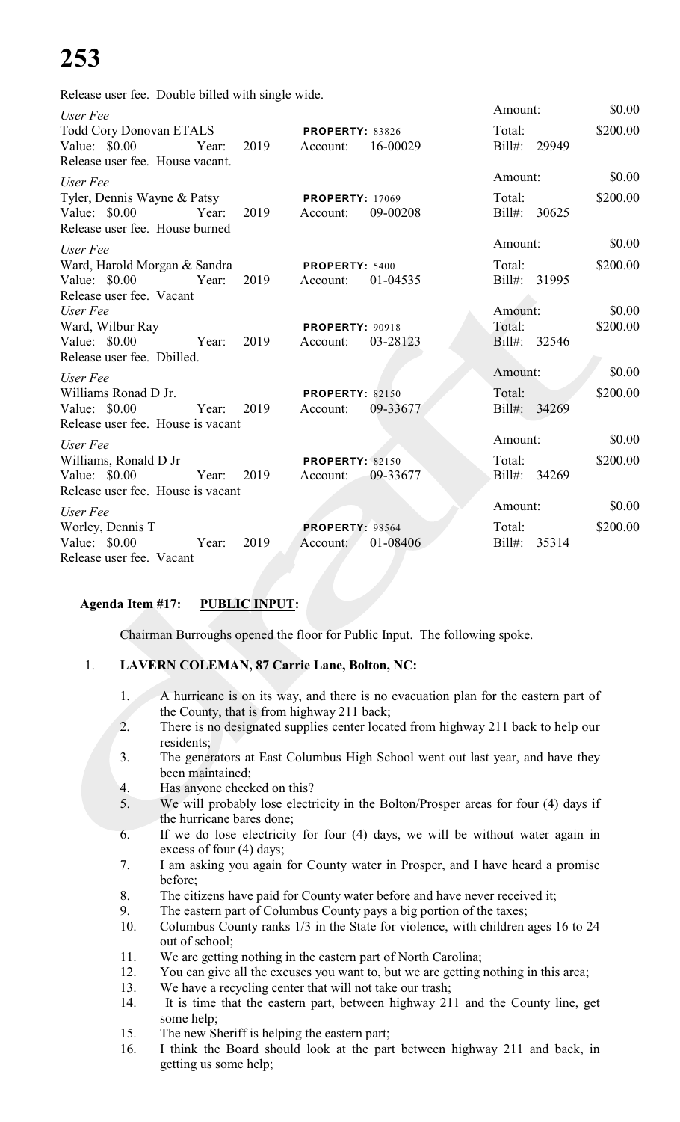Release user fee. Double billed with single wide.

| User Fee                                                                                 |      |                                                | Amount:                | \$0.00   |
|------------------------------------------------------------------------------------------|------|------------------------------------------------|------------------------|----------|
| <b>Todd Cory Donovan ETALS</b><br>Value: \$0.00 Year:<br>Release user fee. House vacant. | 2019 | <b>PROPERTY: 83826</b><br>16-00029<br>Account: | Total:<br>Bill#: 29949 | \$200.00 |
| User Fee                                                                                 |      |                                                | Amount:                | \$0.00   |
| Tyler, Dennis Wayne & Patsy                                                              |      | <b>PROPERTY: 17069</b>                         | Total:                 | \$200.00 |
| Value: $$0.00$<br>Year: 2019<br>Release user fee. House burned                           |      | Account:<br>09-00208                           | Bill#: 30625           |          |
| User Fee                                                                                 |      |                                                | Amount:                | \$0.00   |
| Ward, Harold Morgan & Sandra                                                             |      | PROPERTY: 5400                                 | Total:                 | \$200.00 |
| Value: \$0.00 Year:<br>Release user fee. Vacant                                          | 2019 | Account:<br>01-04535                           | Bill#: 31995           |          |
| User Fee                                                                                 |      |                                                | Amount:                | \$0.00   |
| Ward, Wilbur Ray                                                                         |      | <b>PROPERTY: 90918</b>                         | Total:                 | \$200.00 |
| Value: \$0.00 Year:<br>Release user fee. Dbilled.                                        | 2019 | 03-28123<br>Account:                           | Bill#: 32546           |          |
| User Fee                                                                                 |      |                                                | Amount:                | \$0.00   |
| Williams Ronad D Jr.                                                                     |      | <b>PROPERTY: 82150</b>                         | Total:                 | \$200.00 |
| Year: 2019<br>Value: $$0.00$<br>Release user fee. House is vacant                        |      | 09-33677<br>Account:                           | Bill#: 34269           |          |
| User Fee                                                                                 |      |                                                | Amount:                | \$0.00   |
| Williams, Ronald D Jr                                                                    |      | <b>PROPERTY: 82150</b>                         | Total:                 | \$200.00 |
| Value: \$0.00 Year:<br>Release user fee. House is vacant                                 | 2019 | 09-33677<br>Account:                           | Bill#: 34269           |          |
| User Fee                                                                                 |      |                                                | Amount:                | \$0.00   |
| Worley, Dennis T                                                                         |      | <b>PROPERTY: 98564</b>                         | Total:                 | \$200.00 |
| Value: \$0.00<br>Year:                                                                   | 2019 | 01-08406<br>Account:                           | $Bill#$ :<br>35314     |          |
| Release user fee. Vacant                                                                 |      |                                                |                        |          |

### **Agenda Item #17: PUBLIC INPUT:**

Chairman Burroughs opened the floor for Public Input. The following spoke.

### 1. **LAVERN COLEMAN, 87 Carrie Lane, Bolton, NC:**

- 1. A hurricane is on its way, and there is no evacuation plan for the eastern part of the County, that is from highway 211 back;
- 2. There is no designated supplies center located from highway 211 back to help our residents;
- 3. The generators at East Columbus High School went out last year, and have they been maintained;
- 4. Has anyone checked on this?
- 5. We will probably lose electricity in the Bolton/Prosper areas for four (4) days if the hurricane bares done;
- 6. If we do lose electricity for four (4) days, we will be without water again in excess of four (4) days;
- 7. I am asking you again for County water in Prosper, and I have heard a promise before;
- 8. The citizens have paid for County water before and have never received it;
- 9. The eastern part of Columbus County pays a big portion of the taxes;
- 10. Columbus County ranks 1/3 in the State for violence, with children ages 16 to 24 out of school;
- 11. We are getting nothing in the eastern part of North Carolina;
- 12. You can give all the excuses you want to, but we are getting nothing in this area;
- 13. We have a recycling center that will not take our trash;
- 14. It is time that the eastern part, between highway 211 and the County line, get some help;
- 15. The new Sheriff is helping the eastern part;
- 16. I think the Board should look at the part between highway 211 and back, in getting us some help;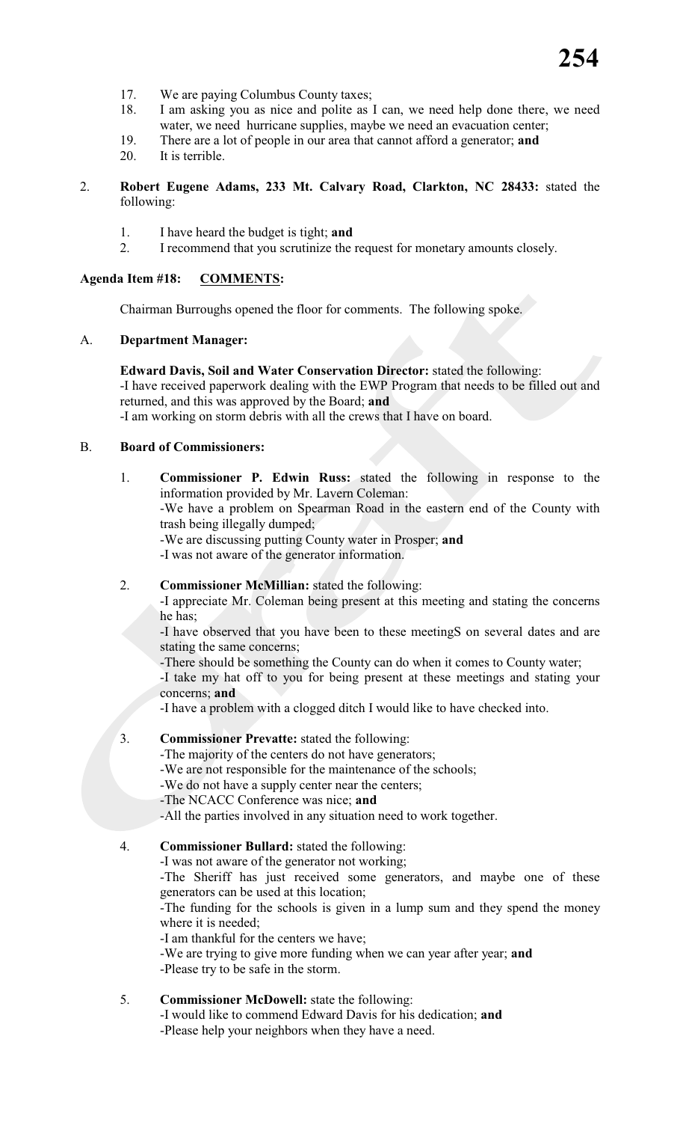- 17. We are paying Columbus County taxes;
- 18. I am asking you as nice and polite as I can, we need help done there, we need water, we need hurricane supplies, maybe we need an evacuation center;
- 19. There are a lot of people in our area that cannot afford a generator; **and**
- 20. It is terrible.

#### 2. **Robert Eugene Adams, 233 Mt. Calvary Road, Clarkton, NC 28433:** stated the following:

- 1. I have heard the budget is tight; **and**
- 2. I recommend that you scrutinize the request for monetary amounts closely.

#### **Agenda Item #18: COMMENTS:**

Chairman Burroughs opened the floor for comments. The following spoke.

#### A. **Department Manager:**

**Edward Davis, Soil and Water Conservation Director:** stated the following: -I have received paperwork dealing with the EWP Program that needs to be filled out and returned, and this was approved by the Board; **and**

-I am working on storm debris with all the crews that I have on board.

#### B. **Board of Commissioners:**

1. **Commissioner P. Edwin Russ:** stated the following in response to the information provided by Mr. Lavern Coleman:

-We have a problem on Spearman Road in the eastern end of the County with trash being illegally dumped;

-We are discussing putting County water in Prosper; **and**

-I was not aware of the generator information.

#### 2. **Commissioner McMillian:** stated the following:

-I appreciate Mr. Coleman being present at this meeting and stating the concerns he has;

-I have observed that you have been to these meetingS on several dates and are stating the same concerns;

-There should be something the County can do when it comes to County water;

-I take my hat off to you for being present at these meetings and stating your concerns; **and**

-I have a problem with a clogged ditch I would like to have checked into.

#### 3. **Commissioner Prevatte:** stated the following:

-The majority of the centers do not have generators;

- -We are not responsible for the maintenance of the schools;
- -We do not have a supply center near the centers;
- -The NCACC Conference was nice; **and**
- -All the parties involved in any situation need to work together.
- 4. **Commissioner Bullard:** stated the following:

-I was not aware of the generator not working;

-The Sheriff has just received some generators, and maybe one of these generators can be used at this location;

-The funding for the schools is given in a lump sum and they spend the money where it is needed;

-I am thankful for the centers we have;

-We are trying to give more funding when we can year after year; **and**

-Please try to be safe in the storm.

#### 5. **Commissioner McDowell:** state the following:

-I would like to commend Edward Davis for his dedication; **and** -Please help your neighbors when they have a need.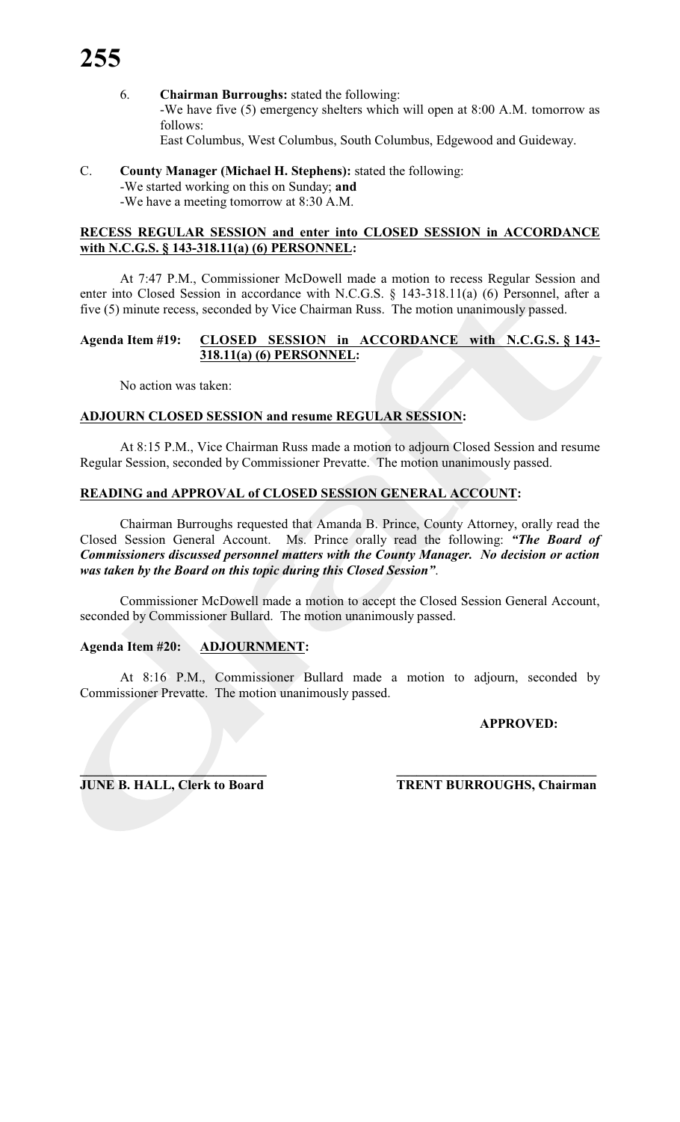6. **Chairman Burroughs:** stated the following: -We have five (5) emergency shelters which will open at 8:00 A.M. tomorrow as follows: East Columbus, West Columbus, South Columbus, Edgewood and Guideway.

#### C. **County Manager (Michael H. Stephens):** stated the following: -We started working on this on Sunday; **and** -We have a meeting tomorrow at 8:30 A.M.

#### **RECESS REGULAR SESSION and enter into CLOSED SESSION in ACCORDANCE with N.C.G.S. § 143-318.11(a) (6) PERSONNEL:**

At 7:47 P.M., Commissioner McDowell made a motion to recess Regular Session and enter into Closed Session in accordance with N.C.G.S. § 143-318.11(a) (6) Personnel, after a five (5) minute recess, seconded by Vice Chairman Russ. The motion unanimously passed.

#### **Agenda Item #19: CLOSED SESSION in ACCORDANCE with N.C.G.S. § 143- 318.11(a) (6) PERSONNEL:**

No action was taken:

#### **ADJOURN CLOSED SESSION and resume REGULAR SESSION:**

At 8:15 P.M., Vice Chairman Russ made a motion to adjourn Closed Session and resume Regular Session, seconded by Commissioner Prevatte. The motion unanimously passed.

#### **READING and APPROVAL of CLOSED SESSION GENERAL ACCOUNT:**

Chairman Burroughs requested that Amanda B. Prince, County Attorney, orally read the Closed Session General Account. Ms. Prince orally read the following: *"The Board of Commissioners discussed personnel matters with the County Manager. No decision or action was taken by the Board on this topic during this Closed Session"*.

Commissioner McDowell made a motion to accept the Closed Session General Account, seconded by Commissioner Bullard. The motion unanimously passed.

### **Agenda Item #20: ADJOURNMENT:**

At 8:16 P.M., Commissioner Bullard made a motion to adjourn, seconded by Commissioner Prevatte. The motion unanimously passed.

#### **APPROVED:**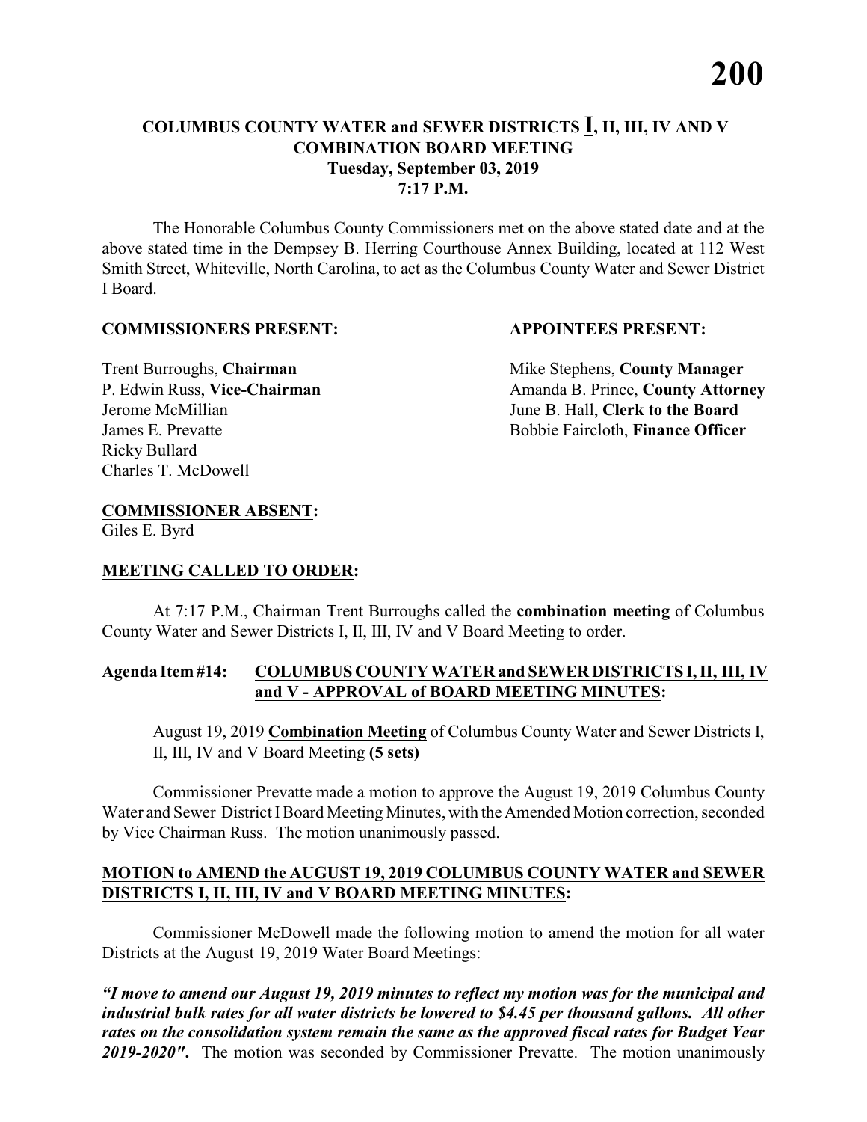The Honorable Columbus County Commissioners met on the above stated date and at the above stated time in the Dempsey B. Herring Courthouse Annex Building, located at 112 West Smith Street, Whiteville, North Carolina, to act as the Columbus County Water and Sewer District I Board.

#### **COMMISSIONERS PRESENT: APPOINTEES PRESENT:**

Ricky Bullard Charles T. McDowell

**Trent Burroughs, Chairman** Mike Stephens, **County Manager** P. Edwin Russ, Vice-Chairman Amanda B. Prince, County Attorney Jerome McMillian June B. Hall, **Clerk to the Board** James E. Prevatte Bobbie Faircloth, **Finance Officer**

### **COMMISSIONER ABSENT:**

Giles E. Byrd

#### **MEETING CALLED TO ORDER:**

At 7:17 P.M., Chairman Trent Burroughs called the **combination meeting** of Columbus County Water and Sewer Districts I, II, III, IV and V Board Meeting to order.

#### **Agenda Item #14: COLUMBUS COUNTY WATER and SEWER DISTRICTS I, II, III, IV and V - APPROVAL of BOARD MEETING MINUTES:**

August 19, 2019 **Combination Meeting** of Columbus County Water and Sewer Districts I, II, III, IV and V Board Meeting **(5 sets)**

Commissioner Prevatte made a motion to approve the August 19, 2019 Columbus County Water and Sewer District I Board Meeting Minutes, with the Amended Motion correction, seconded by Vice Chairman Russ. The motion unanimously passed.

#### **MOTION to AMEND the AUGUST 19, 2019 COLUMBUS COUNTY WATER and SEWER DISTRICTS I, II, III, IV and V BOARD MEETING MINUTES:**

Commissioner McDowell made the following motion to amend the motion for all water Districts at the August 19, 2019 Water Board Meetings: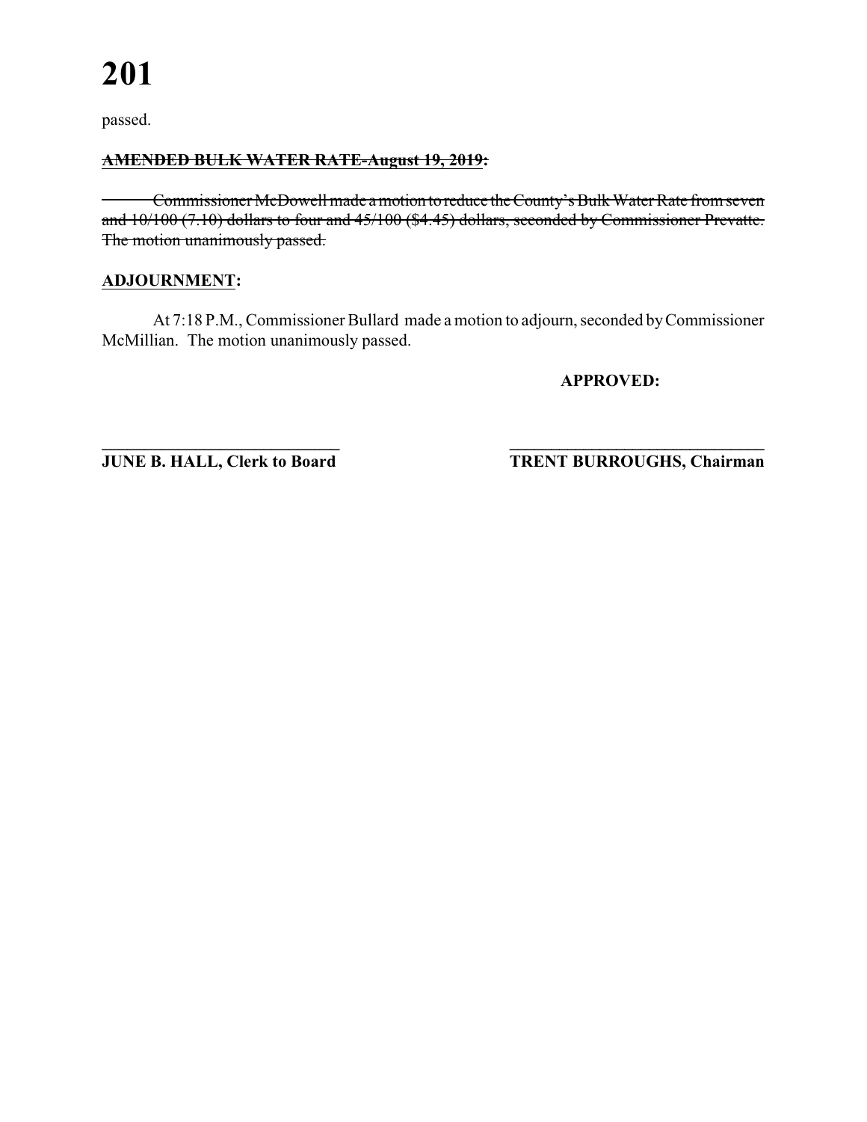#### **AMENDED BULK WATER RATE-August 19, 2019:**

Commissioner McDowell made a motion to reduce the County's Bulk Water Rate from seven and 10/100 (7.10) dollars to four and 45/100 (\$4.45) dollars, seconded by Commissioner Prevatte. The motion unanimously passed.

#### **ADJOURNMENT:**

At 7:18 P.M., Commissioner Bullard made a motion to adjourn, seconded by Commissioner McMillian. The motion unanimously passed.

**APPROVED:**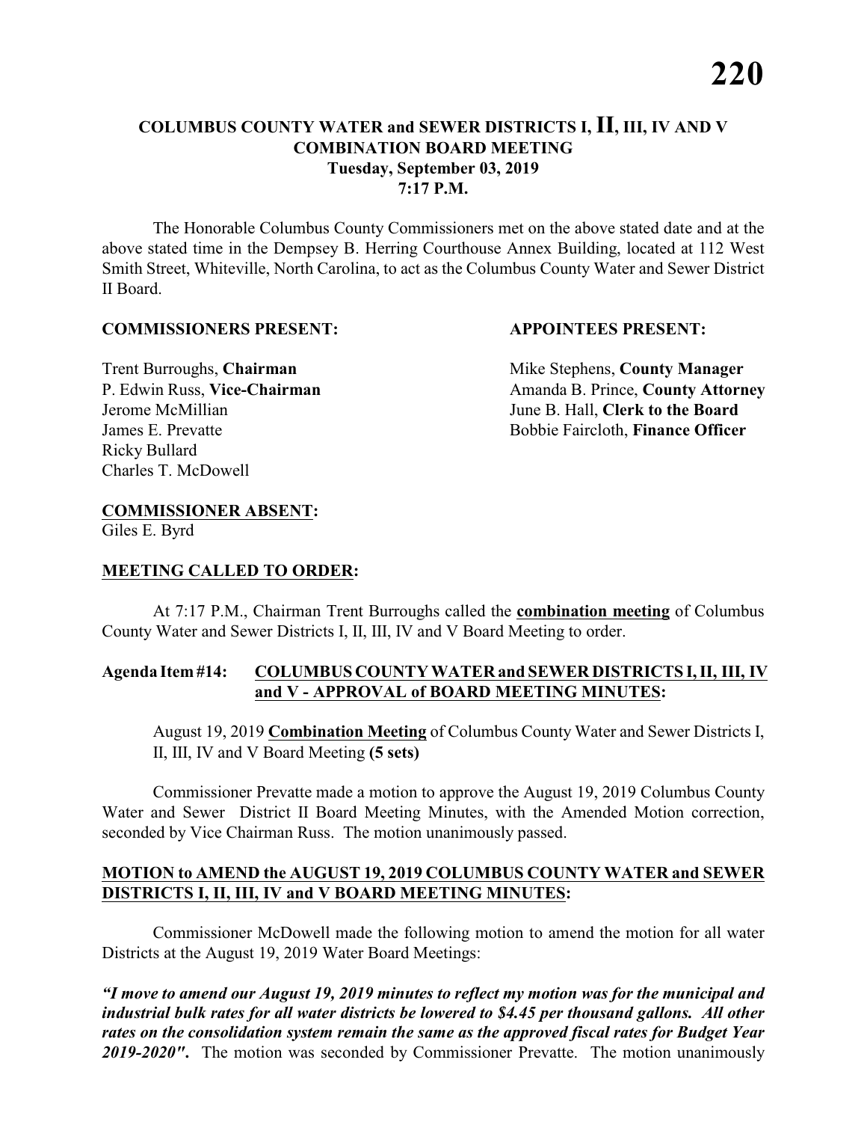The Honorable Columbus County Commissioners met on the above stated date and at the above stated time in the Dempsey B. Herring Courthouse Annex Building, located at 112 West Smith Street, Whiteville, North Carolina, to act as the Columbus County Water and Sewer District II Board.

#### **COMMISSIONERS PRESENT: APPOINTEES PRESENT:**

Ricky Bullard Charles T. McDowell

**Trent Burroughs, Chairman** Mike Stephens, **County Manager** P. Edwin Russ, Vice-Chairman Amanda B. Prince, County Attorney Jerome McMillian June B. Hall, **Clerk to the Board** James E. Prevatte Bobbie Faircloth, **Finance Officer**

### **COMMISSIONER ABSENT:**

Giles E. Byrd

#### **MEETING CALLED TO ORDER:**

At 7:17 P.M., Chairman Trent Burroughs called the **combination meeting** of Columbus County Water and Sewer Districts I, II, III, IV and V Board Meeting to order.

#### **Agenda Item #14: COLUMBUS COUNTY WATER and SEWER DISTRICTS I, II, III, IV and V - APPROVAL of BOARD MEETING MINUTES:**

August 19, 2019 **Combination Meeting** of Columbus County Water and Sewer Districts I, II, III, IV and V Board Meeting **(5 sets)**

Commissioner Prevatte made a motion to approve the August 19, 2019 Columbus County Water and Sewer District II Board Meeting Minutes, with the Amended Motion correction, seconded by Vice Chairman Russ. The motion unanimously passed.

#### **MOTION to AMEND the AUGUST 19, 2019 COLUMBUS COUNTY WATER and SEWER DISTRICTS I, II, III, IV and V BOARD MEETING MINUTES:**

Commissioner McDowell made the following motion to amend the motion for all water Districts at the August 19, 2019 Water Board Meetings: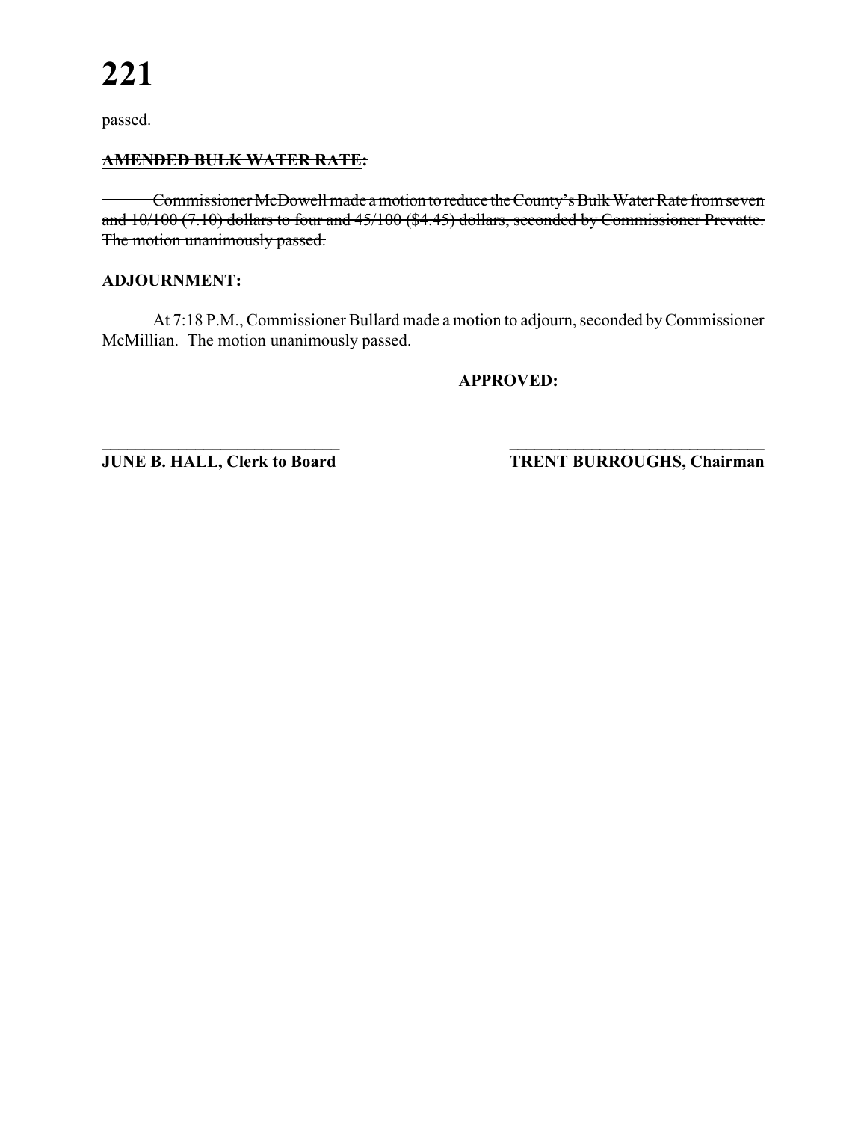#### **AMENDED BULK WATER RATE:**

Commissioner McDowell made a motion to reduce the County's Bulk Water Rate from seven and 10/100 (7.10) dollars to four and 45/100 (\$4.45) dollars, seconded by Commissioner Prevatte. The motion unanimously passed.

#### **ADJOURNMENT:**

At 7:18 P.M., Commissioner Bullard made a motion to adjourn, seconded by Commissioner McMillian. The motion unanimously passed.

**APPROVED:**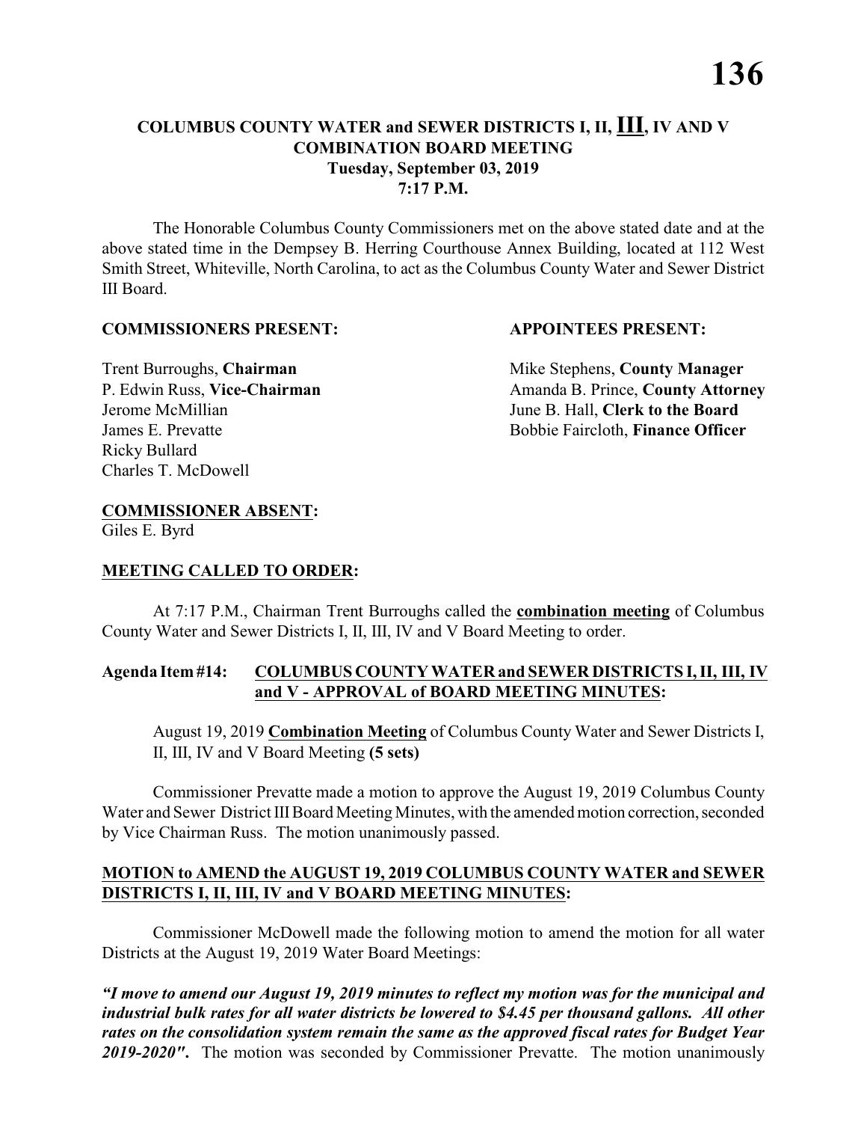The Honorable Columbus County Commissioners met on the above stated date and at the above stated time in the Dempsey B. Herring Courthouse Annex Building, located at 112 West Smith Street, Whiteville, North Carolina, to act as the Columbus County Water and Sewer District III Board.

#### **COMMISSIONERS PRESENT: APPOINTEES PRESENT:**

Ricky Bullard Charles T. McDowell

**Trent Burroughs, Chairman** Mike Stephens, **County Manager** P. Edwin Russ, Vice-Chairman Amanda B. Prince, County Attorney Jerome McMillian June B. Hall, **Clerk to the Board** James E. Prevatte Bobbie Faircloth, **Finance Officer**

### **COMMISSIONER ABSENT:**

Giles E. Byrd

#### **MEETING CALLED TO ORDER:**

At 7:17 P.M., Chairman Trent Burroughs called the **combination meeting** of Columbus County Water and Sewer Districts I, II, III, IV and V Board Meeting to order.

#### **Agenda Item #14: COLUMBUS COUNTY WATER and SEWER DISTRICTS I, II, III, IV and V - APPROVAL of BOARD MEETING MINUTES:**

August 19, 2019 **Combination Meeting** of Columbus County Water and Sewer Districts I, II, III, IV and V Board Meeting **(5 sets)**

Commissioner Prevatte made a motion to approve the August 19, 2019 Columbus County Water and Sewer District III Board Meeting Minutes, with the amended motion correction, seconded by Vice Chairman Russ. The motion unanimously passed.

#### **MOTION to AMEND the AUGUST 19, 2019 COLUMBUS COUNTY WATER and SEWER DISTRICTS I, II, III, IV and V BOARD MEETING MINUTES:**

Commissioner McDowell made the following motion to amend the motion for all water Districts at the August 19, 2019 Water Board Meetings: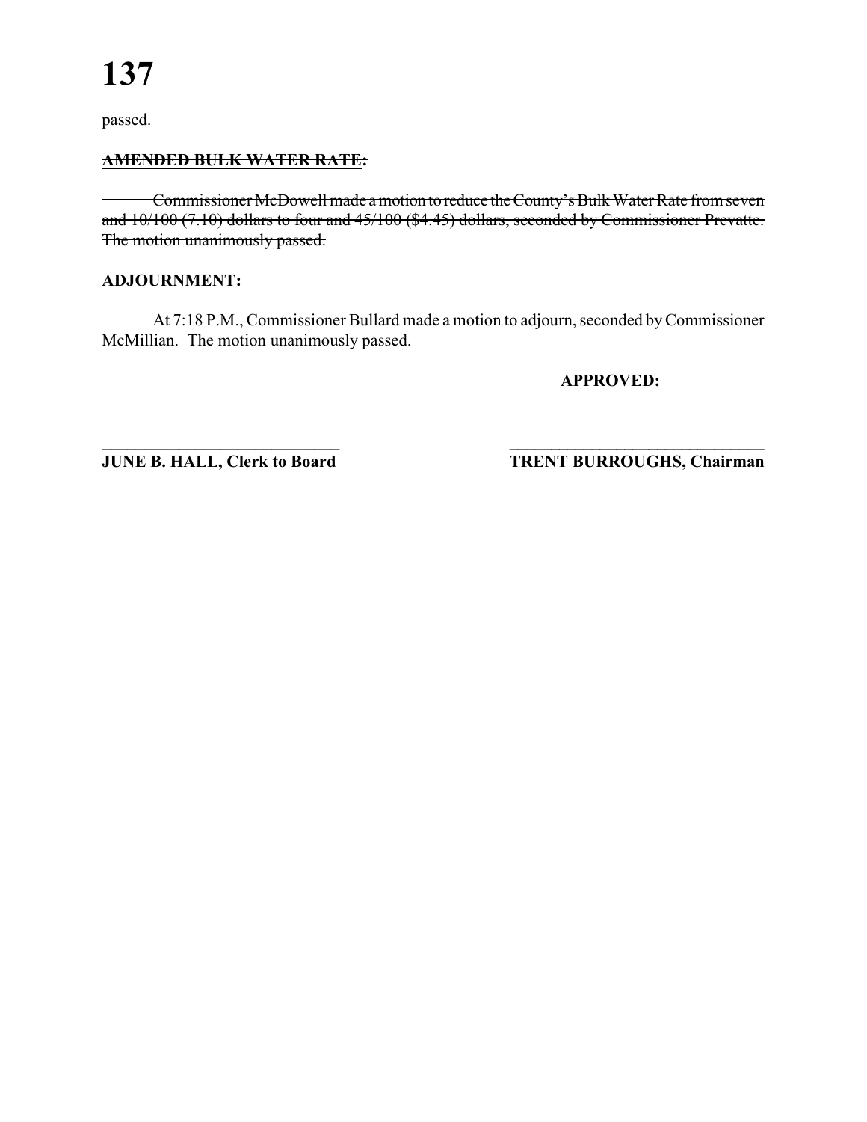#### **AMENDED BULK WATER RATE:**

Commissioner McDowell made a motion to reduce the County's Bulk Water Rate from seven and 10/100 (7.10) dollars to four and 45/100 (\$4.45) dollars, seconded by Commissioner Prevatte. The motion unanimously passed.

#### **ADJOURNMENT:**

At 7:18 P.M., Commissioner Bullard made a motion to adjourn, seconded by Commissioner McMillian. The motion unanimously passed.

**APPROVED:**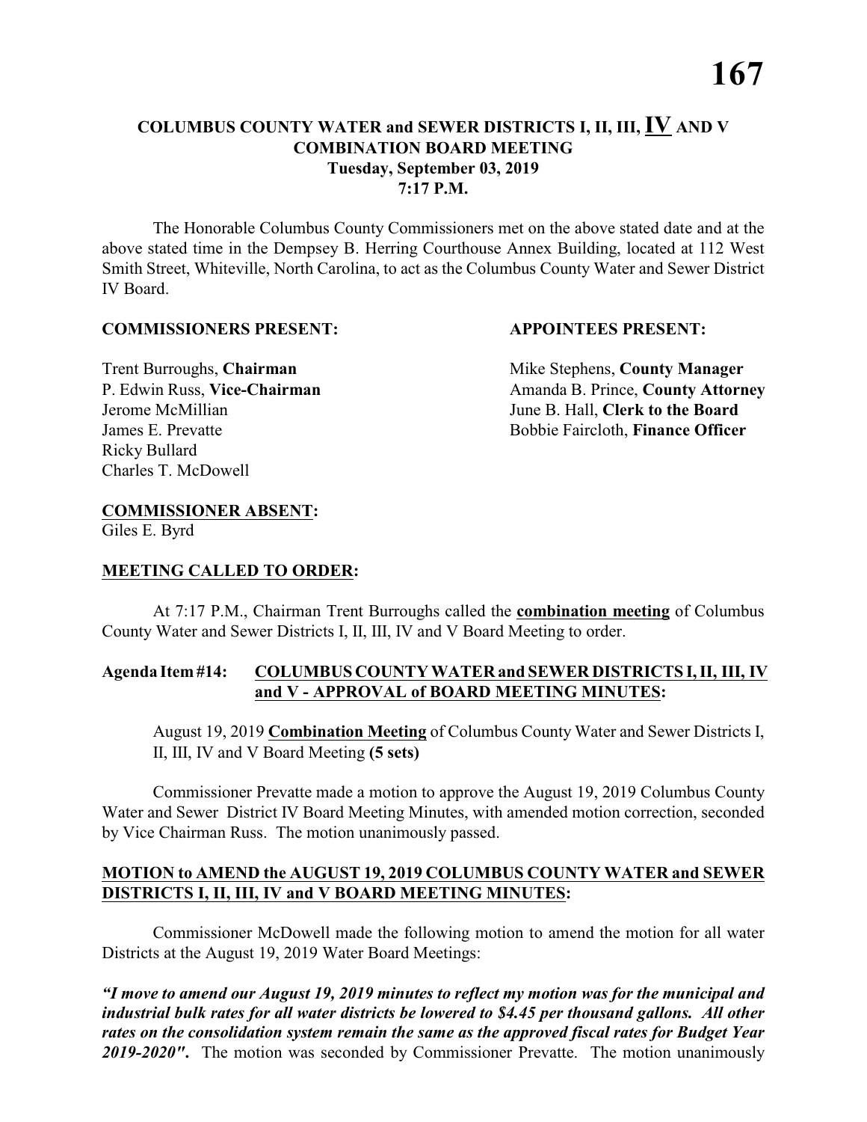The Honorable Columbus County Commissioners met on the above stated date and at the above stated time in the Dempsey B. Herring Courthouse Annex Building, located at 112 West Smith Street, Whiteville, North Carolina, to act as the Columbus County Water and Sewer District IV Board.

#### **COMMISSIONERS PRESENT: APPOINTEES PRESENT:**

Ricky Bullard Charles T. McDowell

**Trent Burroughs, Chairman** Mike Stephens, **County Manager** P. Edwin Russ, Vice-Chairman Amanda B. Prince, County Attorney Jerome McMillian June B. Hall, **Clerk to the Board** James E. Prevatte Bobbie Faircloth, **Finance Officer**

### **COMMISSIONER ABSENT:**

Giles E. Byrd

#### **MEETING CALLED TO ORDER:**

At 7:17 P.M., Chairman Trent Burroughs called the **combination meeting** of Columbus County Water and Sewer Districts I, II, III, IV and V Board Meeting to order.

#### **Agenda Item #14: COLUMBUS COUNTY WATER and SEWER DISTRICTS I, II, III, IV and V - APPROVAL of BOARD MEETING MINUTES:**

August 19, 2019 **Combination Meeting** of Columbus County Water and Sewer Districts I, II, III, IV and V Board Meeting **(5 sets)**

Commissioner Prevatte made a motion to approve the August 19, 2019 Columbus County Water and Sewer District IV Board Meeting Minutes, with amended motion correction, seconded by Vice Chairman Russ. The motion unanimously passed.

#### **MOTION to AMEND the AUGUST 19, 2019 COLUMBUS COUNTY WATER and SEWER DISTRICTS I, II, III, IV and V BOARD MEETING MINUTES:**

Commissioner McDowell made the following motion to amend the motion for all water Districts at the August 19, 2019 Water Board Meetings: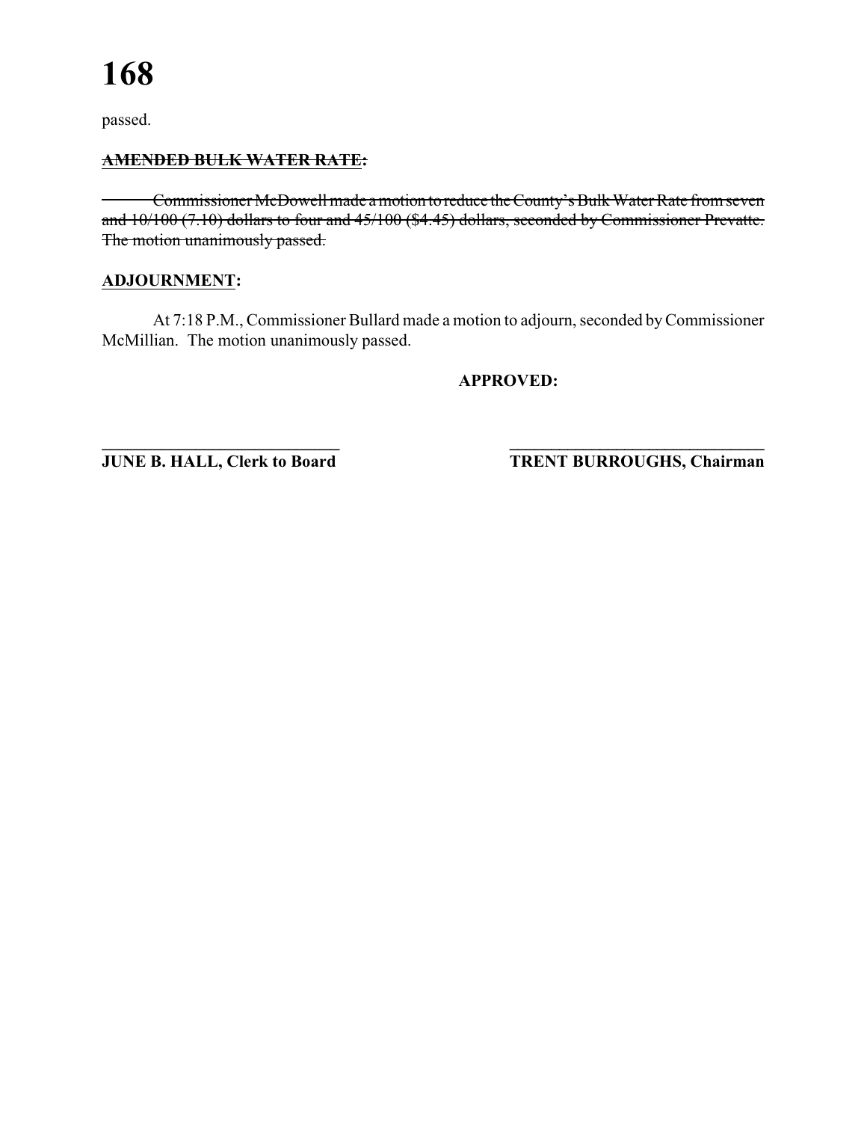#### **AMENDED BULK WATER RATE:**

Commissioner McDowell made a motion to reduce the County's Bulk Water Rate from seven and 10/100 (7.10) dollars to four and 45/100 (\$4.45) dollars, seconded by Commissioner Prevatte. The motion unanimously passed.

#### **ADJOURNMENT:**

At 7:18 P.M., Commissioner Bullard made a motion to adjourn, seconded by Commissioner McMillian. The motion unanimously passed.

#### **APPROVED:**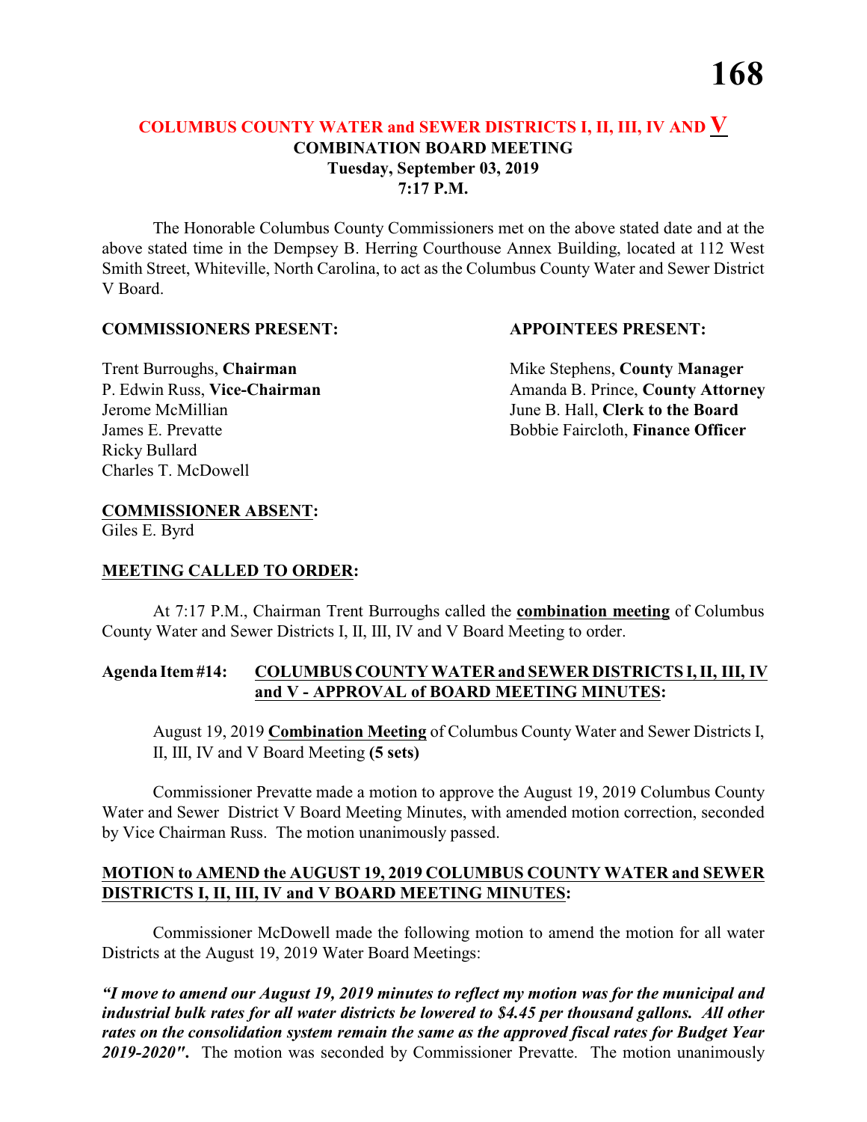The Honorable Columbus County Commissioners met on the above stated date and at the above stated time in the Dempsey B. Herring Courthouse Annex Building, located at 112 West Smith Street, Whiteville, North Carolina, to act as the Columbus County Water and Sewer District V Board.

#### **COMMISSIONERS PRESENT: APPOINTEES PRESENT:**

Ricky Bullard Charles T. McDowell

**Trent Burroughs, Chairman** Mike Stephens, **County Manager** P. Edwin Russ, Vice-Chairman Amanda B. Prince, County Attorney Jerome McMillian June B. Hall, **Clerk to the Board** James E. Prevatte Bobbie Faircloth, **Finance Officer**

### **COMMISSIONER ABSENT:**

Giles E. Byrd

#### **MEETING CALLED TO ORDER:**

At 7:17 P.M., Chairman Trent Burroughs called the **combination meeting** of Columbus County Water and Sewer Districts I, II, III, IV and V Board Meeting to order.

#### **Agenda Item #14: COLUMBUS COUNTY WATER and SEWER DISTRICTS I, II, III, IV and V - APPROVAL of BOARD MEETING MINUTES:**

August 19, 2019 **Combination Meeting** of Columbus County Water and Sewer Districts I, II, III, IV and V Board Meeting **(5 sets)**

Commissioner Prevatte made a motion to approve the August 19, 2019 Columbus County Water and Sewer District V Board Meeting Minutes, with amended motion correction, seconded by Vice Chairman Russ. The motion unanimously passed.

#### **MOTION to AMEND the AUGUST 19, 2019 COLUMBUS COUNTY WATER and SEWER DISTRICTS I, II, III, IV and V BOARD MEETING MINUTES:**

Commissioner McDowell made the following motion to amend the motion for all water Districts at the August 19, 2019 Water Board Meetings: